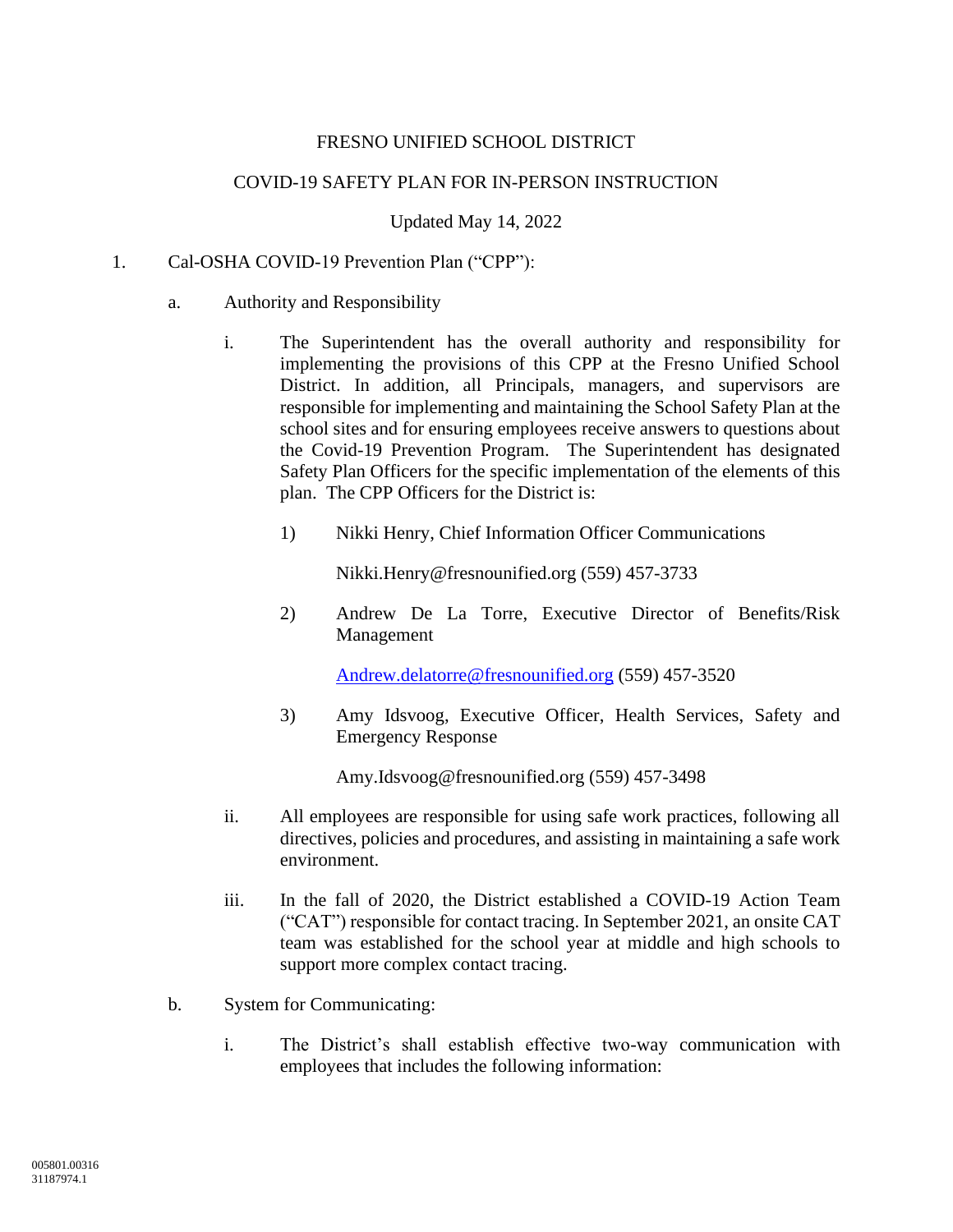## FRESNO UNIFIED SCHOOL DISTRICT

#### COVID-19 SAFETY PLAN FOR IN-PERSON INSTRUCTION

Updated May 14, 2022

#### 1. Cal-OSHA COVID-19 Prevention Plan ("CPP"):

#### a. Authority and Responsibility

- i. The Superintendent has the overall authority and responsibility for implementing the provisions of this CPP at the Fresno Unified School District. In addition, all Principals, managers, and supervisors are responsible for implementing and maintaining the School Safety Plan at the school sites and for ensuring employees receive answers to questions about the Covid-19 Prevention Program. The Superintendent has designated Safety Plan Officers for the specific implementation of the elements of this plan. The CPP Officers for the District is:
	- 1) Nikki Henry, Chief Information Officer Communications

Nikki.Henry@fresnounified.org (559) 457-3733

2) Andrew De La Torre, Executive Director of Benefits/Risk Management

[Andrew.delatorre@fresnounified.org](mailto:Andrew.delatorre@fresnounified.org) (559) 457-3520

3) Amy Idsvoog, Executive Officer, Health Services, Safety and Emergency Response

Amy.Idsvoog@fresnounified.org (559) 457-3498

- ii. All employees are responsible for using safe work practices, following all directives, policies and procedures, and assisting in maintaining a safe work environment.
- iii. In the fall of 2020, the District established a COVID-19 Action Team ("CAT") responsible for contact tracing. In September 2021, an onsite CAT team was established for the school year at middle and high schools to support more complex contact tracing.
- b. System for Communicating:
	- i. The District's shall establish effective two-way communication with employees that includes the following information: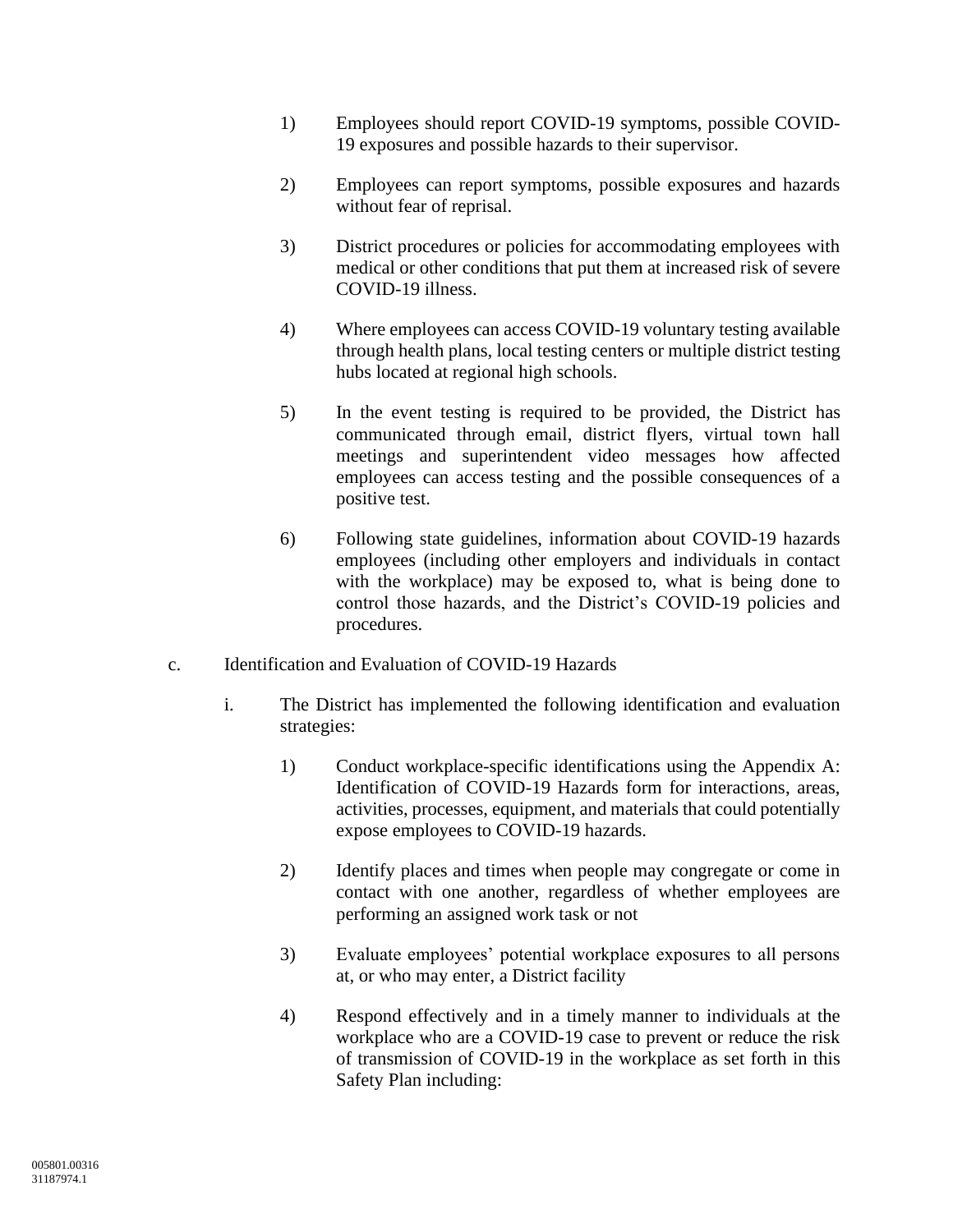- 1) Employees should report COVID-19 symptoms, possible COVID-19 exposures and possible hazards to their supervisor.
- 2) Employees can report symptoms, possible exposures and hazards without fear of reprisal.
- 3) District procedures or policies for accommodating employees with medical or other conditions that put them at increased risk of severe COVID-19 illness.
- 4) Where employees can access COVID-19 voluntary testing available through health plans, local testing centers or multiple district testing hubs located at regional high schools.
- 5) In the event testing is required to be provided, the District has communicated through email, district flyers, virtual town hall meetings and superintendent video messages how affected employees can access testing and the possible consequences of a positive test.
- 6) Following state guidelines, information about COVID-19 hazards employees (including other employers and individuals in contact with the workplace) may be exposed to, what is being done to control those hazards, and the District's COVID-19 policies and procedures.
- c. Identification and Evaluation of COVID-19 Hazards
	- i. The District has implemented the following identification and evaluation strategies:
		- 1) Conduct workplace-specific identifications using the Appendix A: Identification of COVID-19 Hazards form for interactions, areas, activities, processes, equipment, and materials that could potentially expose employees to COVID-19 hazards.
		- 2) Identify places and times when people may congregate or come in contact with one another, regardless of whether employees are performing an assigned work task or not
		- 3) Evaluate employees' potential workplace exposures to all persons at, or who may enter, a District facility
		- 4) Respond effectively and in a timely manner to individuals at the workplace who are a COVID-19 case to prevent or reduce the risk of transmission of COVID-19 in the workplace as set forth in this Safety Plan including: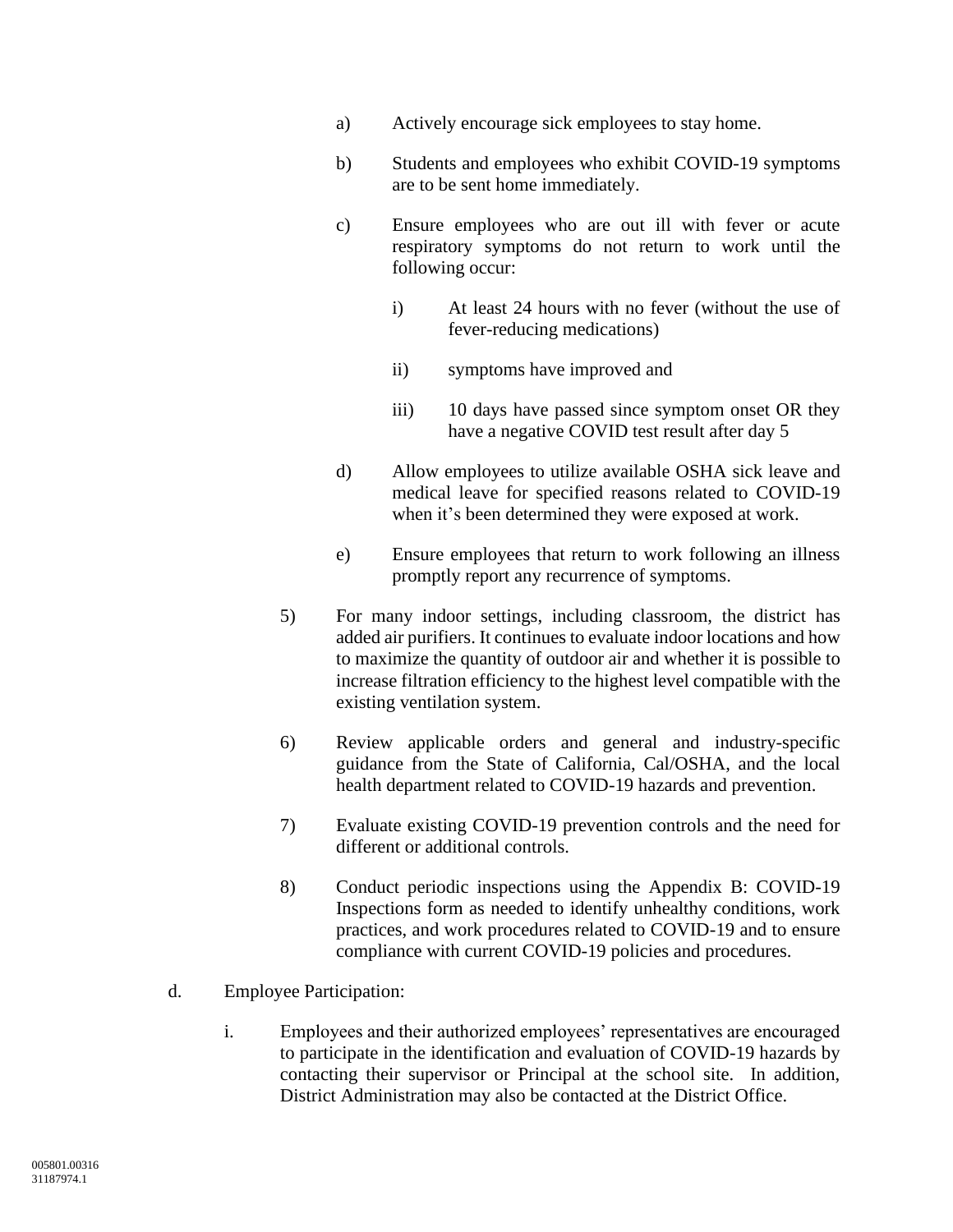- a) Actively encourage sick employees to stay home.
- b) Students and employees who exhibit COVID-19 symptoms are to be sent home immediately.
- c) Ensure employees who are out ill with fever or acute respiratory symptoms do not return to work until the following occur:
	- i) At least 24 hours with no fever (without the use of fever-reducing medications)
	- ii) symptoms have improved and
	- iii) 10 days have passed since symptom onset OR they have a negative COVID test result after day 5
- d) Allow employees to utilize available OSHA sick leave and medical leave for specified reasons related to COVID-19 when it's been determined they were exposed at work.
- e) Ensure employees that return to work following an illness promptly report any recurrence of symptoms.
- 5) For many indoor settings, including classroom, the district has added air purifiers. It continues to evaluate indoor locations and how to maximize the quantity of outdoor air and whether it is possible to increase filtration efficiency to the highest level compatible with the existing ventilation system.
- 6) Review applicable orders and general and industry-specific guidance from the State of California, Cal/OSHA, and the local health department related to COVID-19 hazards and prevention.
- 7) Evaluate existing COVID-19 prevention controls and the need for different or additional controls.
- 8) Conduct periodic inspections using the Appendix B: COVID-19 Inspections form as needed to identify unhealthy conditions, work practices, and work procedures related to COVID-19 and to ensure compliance with current COVID-19 policies and procedures.
- d. Employee Participation:
	- i. Employees and their authorized employees' representatives are encouraged to participate in the identification and evaluation of COVID-19 hazards by contacting their supervisor or Principal at the school site. In addition, District Administration may also be contacted at the District Office.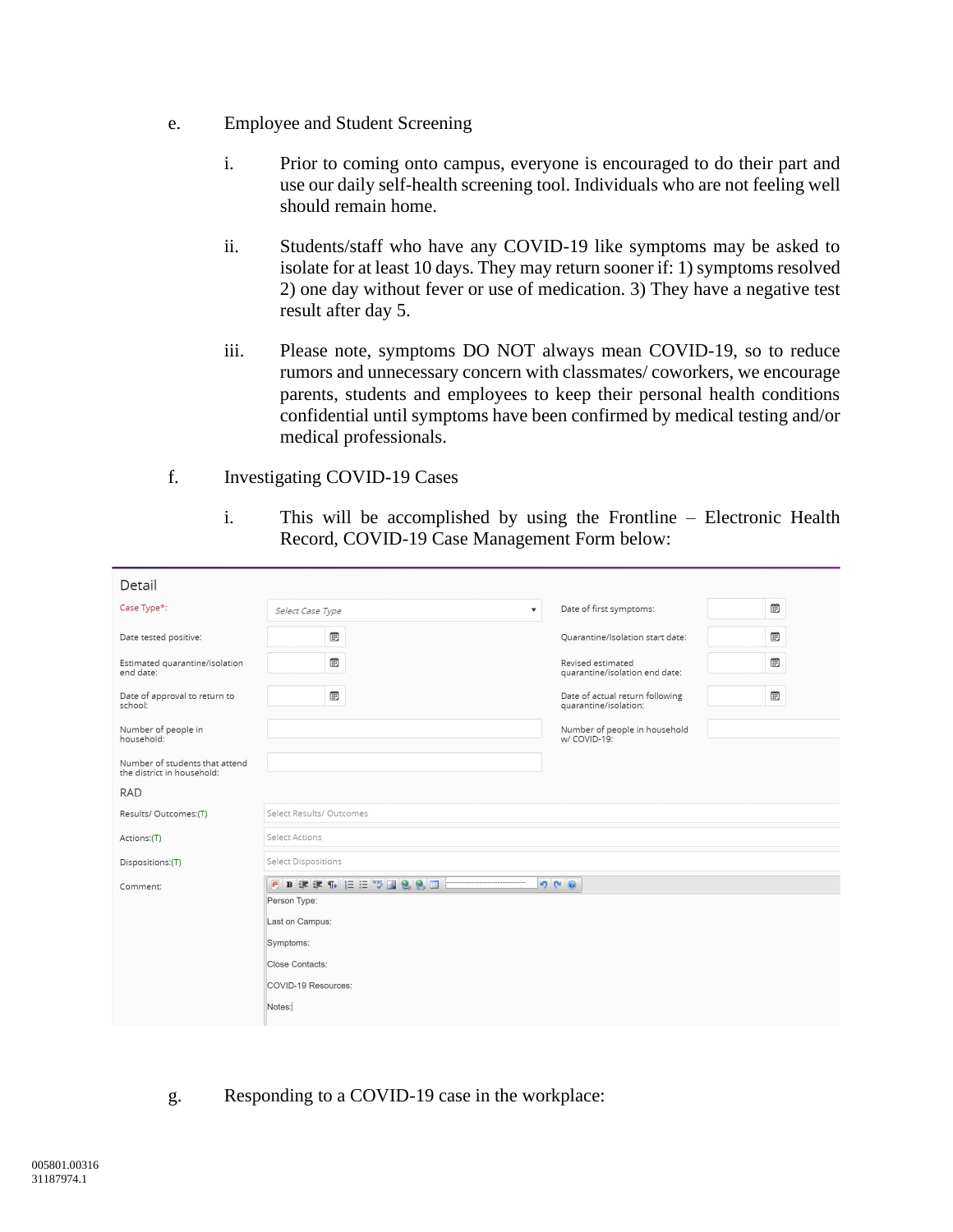- e. Employee and Student Screening
	- i. Prior to coming onto campus, everyone is encouraged to do their part and use our daily self-health screening tool. Individuals who are not feeling well should remain home.
	- ii. Students/staff who have any COVID-19 like symptoms may be asked to isolate for at least 10 days. They may return sooner if: 1) symptoms resolved 2) one day without fever or use of medication. 3) They have a negative test result after day 5.
	- iii. Please note, symptoms DO NOT always mean COVID-19, so to reduce rumors and unnecessary concern with classmates/ coworkers, we encourage parents, students and employees to keep their personal health conditions confidential until symptoms have been confirmed by medical testing and/or medical professionals.
- f. Investigating COVID-19 Cases
	- i. This will be accomplished by using the Frontline Electronic Health Record, COVID-19 Case Management Form below:

| Detail                                                       |                                             |                                                          |   |
|--------------------------------------------------------------|---------------------------------------------|----------------------------------------------------------|---|
| Case Type*:                                                  | $\overline{\mathbf{v}}$<br>Select Case Type | Date of first symptoms:                                  | ▦ |
| Date tested positive:                                        | 圃                                           | Ouarantine/Isolation start date:                         | ▦ |
| Estimated quarantine/isolation<br>end date:                  | 圃                                           | Revised estimated<br>quarantine/isolation end date:      | ▦ |
| Date of approval to return to<br>school:                     | <b>iii</b>                                  | Date of actual return following<br>quarantine/isolation: | ▦ |
| Number of people in<br>household:                            |                                             | Number of people in household<br>w/ COVID-19:            |   |
| Number of students that attend<br>the district in household: |                                             |                                                          |   |
| <b>RAD</b>                                                   |                                             |                                                          |   |
| Results/ Outcomes:(T)                                        | Select Results/ Outcomes                    |                                                          |   |
| Actions:(T)                                                  | Select Actions                              |                                                          |   |
| Dispositions:(T)                                             | Select Dispositions                         |                                                          |   |
| Comment:                                                     | PBまま4 日日VS図88回<br>9 6 0                     |                                                          |   |
|                                                              | Person Type:                                |                                                          |   |
|                                                              | Last on Campus:                             |                                                          |   |
|                                                              | Symptoms:                                   |                                                          |   |
|                                                              | Close Contacts:                             |                                                          |   |
|                                                              | COVID-19 Resources:                         |                                                          |   |
|                                                              | Notes:                                      |                                                          |   |

g. Responding to a COVID-19 case in the workplace: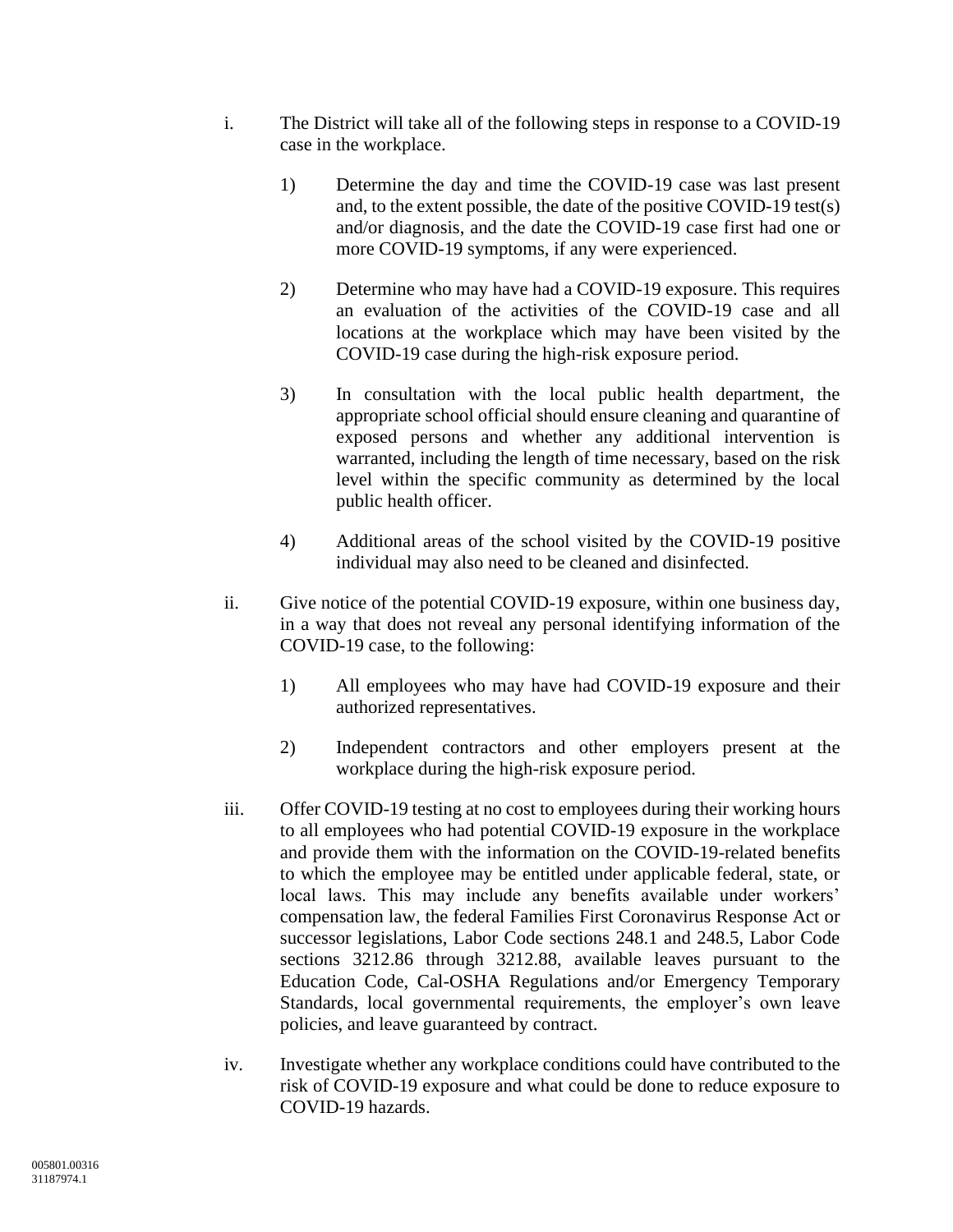- i. The District will take all of the following steps in response to a COVID-19 case in the workplace.
	- 1) Determine the day and time the COVID-19 case was last present and, to the extent possible, the date of the positive COVID-19 test(s) and/or diagnosis, and the date the COVID-19 case first had one or more COVID-19 symptoms, if any were experienced.
	- 2) Determine who may have had a COVID-19 exposure. This requires an evaluation of the activities of the COVID-19 case and all locations at the workplace which may have been visited by the COVID-19 case during the high-risk exposure period.
	- 3) In consultation with the local public health department, the appropriate school official should ensure cleaning and quarantine of exposed persons and whether any additional intervention is warranted, including the length of time necessary, based on the risk level within the specific community as determined by the local public health officer.
	- 4) Additional areas of the school visited by the COVID-19 positive individual may also need to be cleaned and disinfected.
- ii. Give notice of the potential COVID-19 exposure, within one business day, in a way that does not reveal any personal identifying information of the COVID-19 case, to the following:
	- 1) All employees who may have had COVID-19 exposure and their authorized representatives.
	- 2) Independent contractors and other employers present at the workplace during the high-risk exposure period.
- iii. Offer COVID-19 testing at no cost to employees during their working hours to all employees who had potential COVID-19 exposure in the workplace and provide them with the information on the COVID-19-related benefits to which the employee may be entitled under applicable federal, state, or local laws. This may include any benefits available under workers' compensation law, the federal Families First Coronavirus Response Act or successor legislations, Labor Code sections 248.1 and 248.5, Labor Code sections 3212.86 through 3212.88, available leaves pursuant to the Education Code, Cal-OSHA Regulations and/or Emergency Temporary Standards, local governmental requirements, the employer's own leave policies, and leave guaranteed by contract.
- iv. Investigate whether any workplace conditions could have contributed to the risk of COVID-19 exposure and what could be done to reduce exposure to COVID-19 hazards.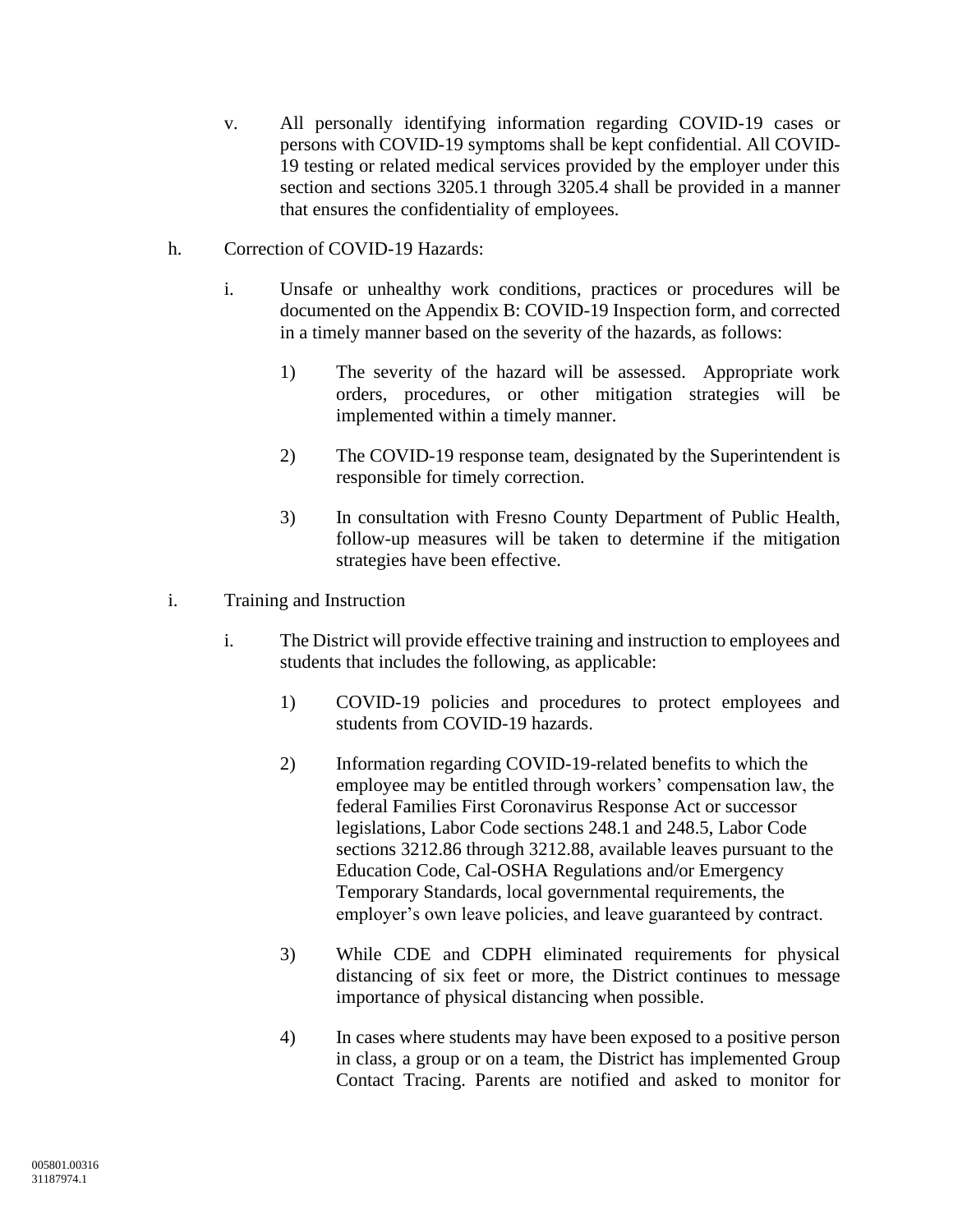- v. All personally identifying information regarding COVID-19 cases or persons with COVID-19 symptoms shall be kept confidential. All COVID-19 testing or related medical services provided by the employer under this section and sections 3205.1 through 3205.4 shall be provided in a manner that ensures the confidentiality of employees.
- h. Correction of COVID-19 Hazards:
	- i. Unsafe or unhealthy work conditions, practices or procedures will be documented on the Appendix B: COVID-19 Inspection form, and corrected in a timely manner based on the severity of the hazards, as follows:
		- 1) The severity of the hazard will be assessed. Appropriate work orders, procedures, or other mitigation strategies will be implemented within a timely manner.
		- 2) The COVID-19 response team, designated by the Superintendent is responsible for timely correction.
		- 3) In consultation with Fresno County Department of Public Health, follow-up measures will be taken to determine if the mitigation strategies have been effective.
- i. Training and Instruction
	- i. The District will provide effective training and instruction to employees and students that includes the following, as applicable:
		- 1) COVID-19 policies and procedures to protect employees and students from COVID-19 hazards.
		- 2) Information regarding COVID-19-related benefits to which the employee may be entitled through workers' compensation law, the federal Families First Coronavirus Response Act or successor legislations, Labor Code sections 248.1 and 248.5, Labor Code sections 3212.86 through 3212.88, available leaves pursuant to the Education Code, Cal-OSHA Regulations and/or Emergency Temporary Standards, local governmental requirements, the employer's own leave policies, and leave guaranteed by contract.
		- 3) While CDE and CDPH eliminated requirements for physical distancing of six feet or more, the District continues to message importance of physical distancing when possible.
		- 4) In cases where students may have been exposed to a positive person in class, a group or on a team, the District has implemented Group Contact Tracing. Parents are notified and asked to monitor for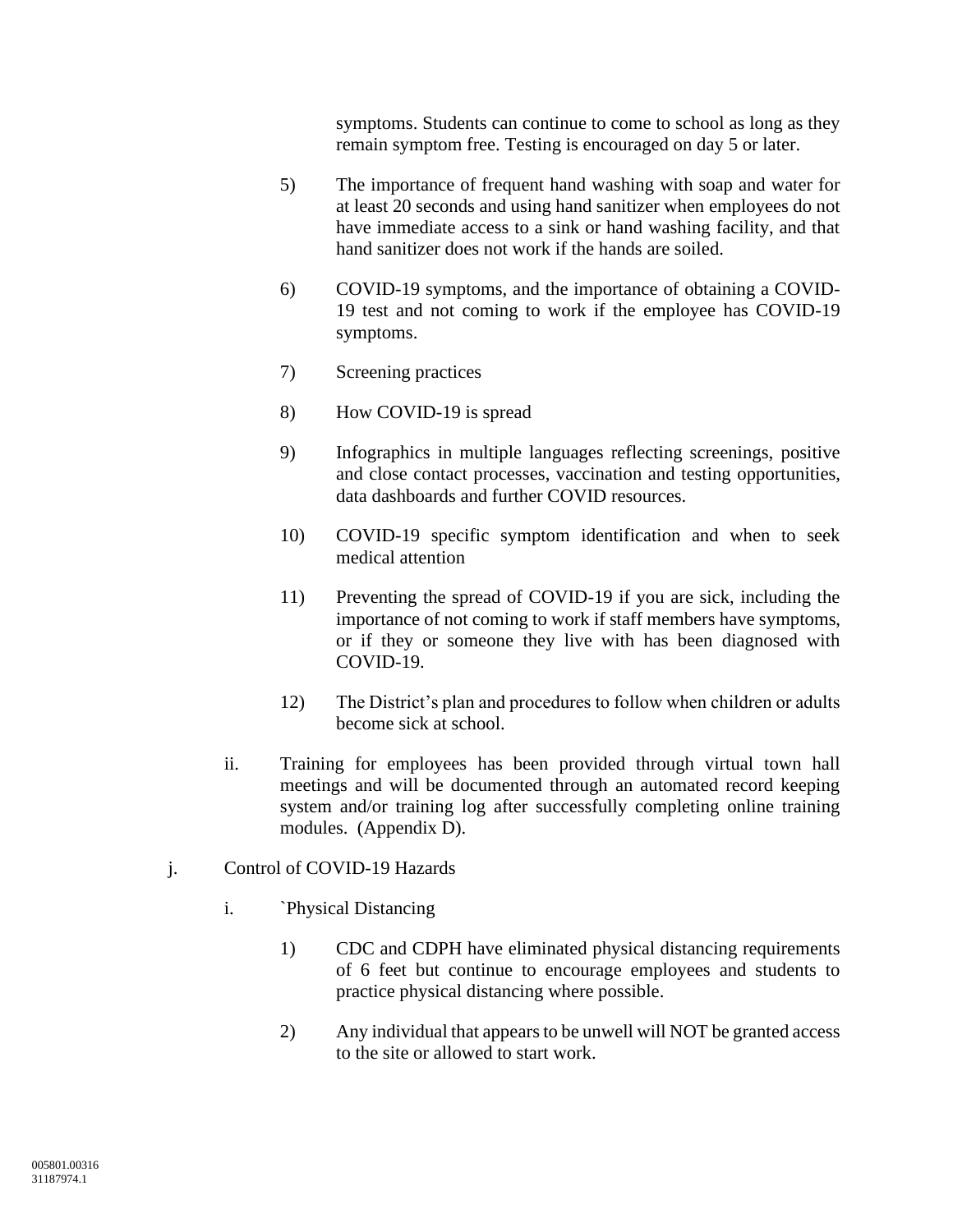symptoms. Students can continue to come to school as long as they remain symptom free. Testing is encouraged on day 5 or later.

- 5) The importance of frequent hand washing with soap and water for at least 20 seconds and using hand sanitizer when employees do not have immediate access to a sink or hand washing facility, and that hand sanitizer does not work if the hands are soiled.
- 6) COVID-19 symptoms, and the importance of obtaining a COVID-19 test and not coming to work if the employee has COVID-19 symptoms.
- 7) Screening practices
- 8) How COVID-19 is spread
- 9) Infographics in multiple languages reflecting screenings, positive and close contact processes, vaccination and testing opportunities, data dashboards and further COVID resources.
- 10) COVID-19 specific symptom identification and when to seek medical attention
- 11) Preventing the spread of COVID-19 if you are sick, including the importance of not coming to work if staff members have symptoms, or if they or someone they live with has been diagnosed with COVID-19.
- 12) The District's plan and procedures to follow when children or adults become sick at school.
- ii. Training for employees has been provided through virtual town hall meetings and will be documented through an automated record keeping system and/or training log after successfully completing online training modules. (Appendix D).
- j. Control of COVID-19 Hazards
	- i. `Physical Distancing
		- 1) CDC and CDPH have eliminated physical distancing requirements of 6 feet but continue to encourage employees and students to practice physical distancing where possible.
		- 2) Any individual that appears to be unwell will NOT be granted access to the site or allowed to start work.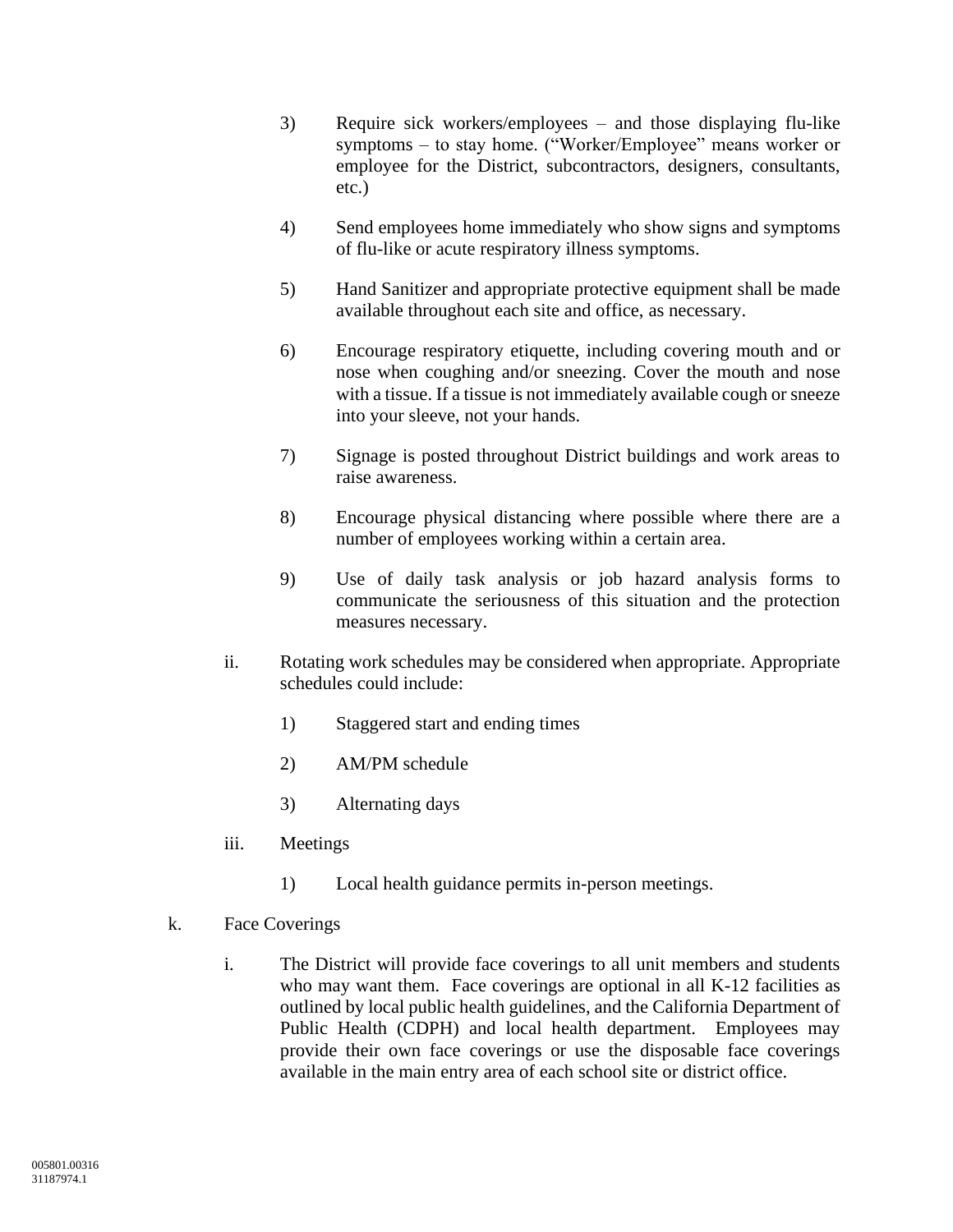- 3) Require sick workers/employees and those displaying flu-like symptoms – to stay home. ("Worker/Employee" means worker or employee for the District, subcontractors, designers, consultants, etc.)
- 4) Send employees home immediately who show signs and symptoms of flu-like or acute respiratory illness symptoms.
- 5) Hand Sanitizer and appropriate protective equipment shall be made available throughout each site and office, as necessary.
- 6) Encourage respiratory etiquette, including covering mouth and or nose when coughing and/or sneezing. Cover the mouth and nose with a tissue. If a tissue is not immediately available cough or sneeze into your sleeve, not your hands.
- 7) Signage is posted throughout District buildings and work areas to raise awareness.
- 8) Encourage physical distancing where possible where there are a number of employees working within a certain area.
- 9) Use of daily task analysis or job hazard analysis forms to communicate the seriousness of this situation and the protection measures necessary.
- ii. Rotating work schedules may be considered when appropriate. Appropriate schedules could include:
	- 1) Staggered start and ending times
	- 2) AM/PM schedule
	- 3) Alternating days
- iii. Meetings
	- 1) Local health guidance permits in-person meetings.
- k. Face Coverings
	- i. The District will provide face coverings to all unit members and students who may want them. Face coverings are optional in all K-12 facilities as outlined by local public health guidelines, and the California Department of Public Health (CDPH) and local health department. Employees may provide their own face coverings or use the disposable face coverings available in the main entry area of each school site or district office.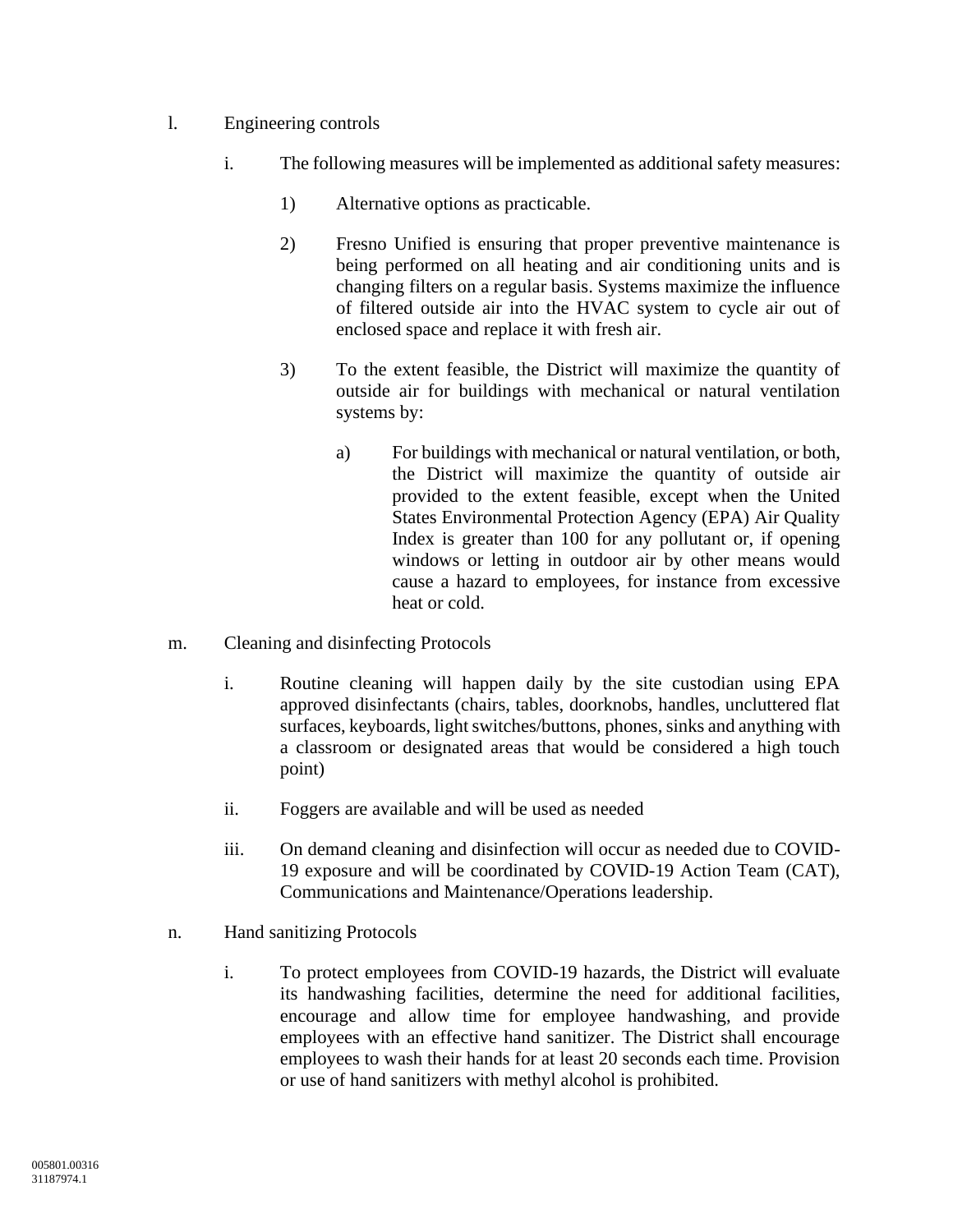- l. Engineering controls
	- i. The following measures will be implemented as additional safety measures:
		- 1) Alternative options as practicable.
		- 2) Fresno Unified is ensuring that proper preventive maintenance is being performed on all heating and air conditioning units and is changing filters on a regular basis. Systems maximize the influence of filtered outside air into the HVAC system to cycle air out of enclosed space and replace it with fresh air.
		- 3) To the extent feasible, the District will maximize the quantity of outside air for buildings with mechanical or natural ventilation systems by:
			- a) For buildings with mechanical or natural ventilation, or both, the District will maximize the quantity of outside air provided to the extent feasible, except when the United States Environmental Protection Agency (EPA) Air Quality Index is greater than 100 for any pollutant or, if opening windows or letting in outdoor air by other means would cause a hazard to employees, for instance from excessive heat or cold.
- m. Cleaning and disinfecting Protocols
	- i. Routine cleaning will happen daily by the site custodian using EPA approved disinfectants (chairs, tables, doorknobs, handles, uncluttered flat surfaces, keyboards, light switches/buttons, phones, sinks and anything with a classroom or designated areas that would be considered a high touch point)
	- ii. Foggers are available and will be used as needed
	- iii. On demand cleaning and disinfection will occur as needed due to COVID-19 exposure and will be coordinated by COVID-19 Action Team (CAT), Communications and Maintenance/Operations leadership.
- n. Hand sanitizing Protocols
	- i. To protect employees from COVID-19 hazards, the District will evaluate its handwashing facilities, determine the need for additional facilities, encourage and allow time for employee handwashing, and provide employees with an effective hand sanitizer. The District shall encourage employees to wash their hands for at least 20 seconds each time. Provision or use of hand sanitizers with methyl alcohol is prohibited.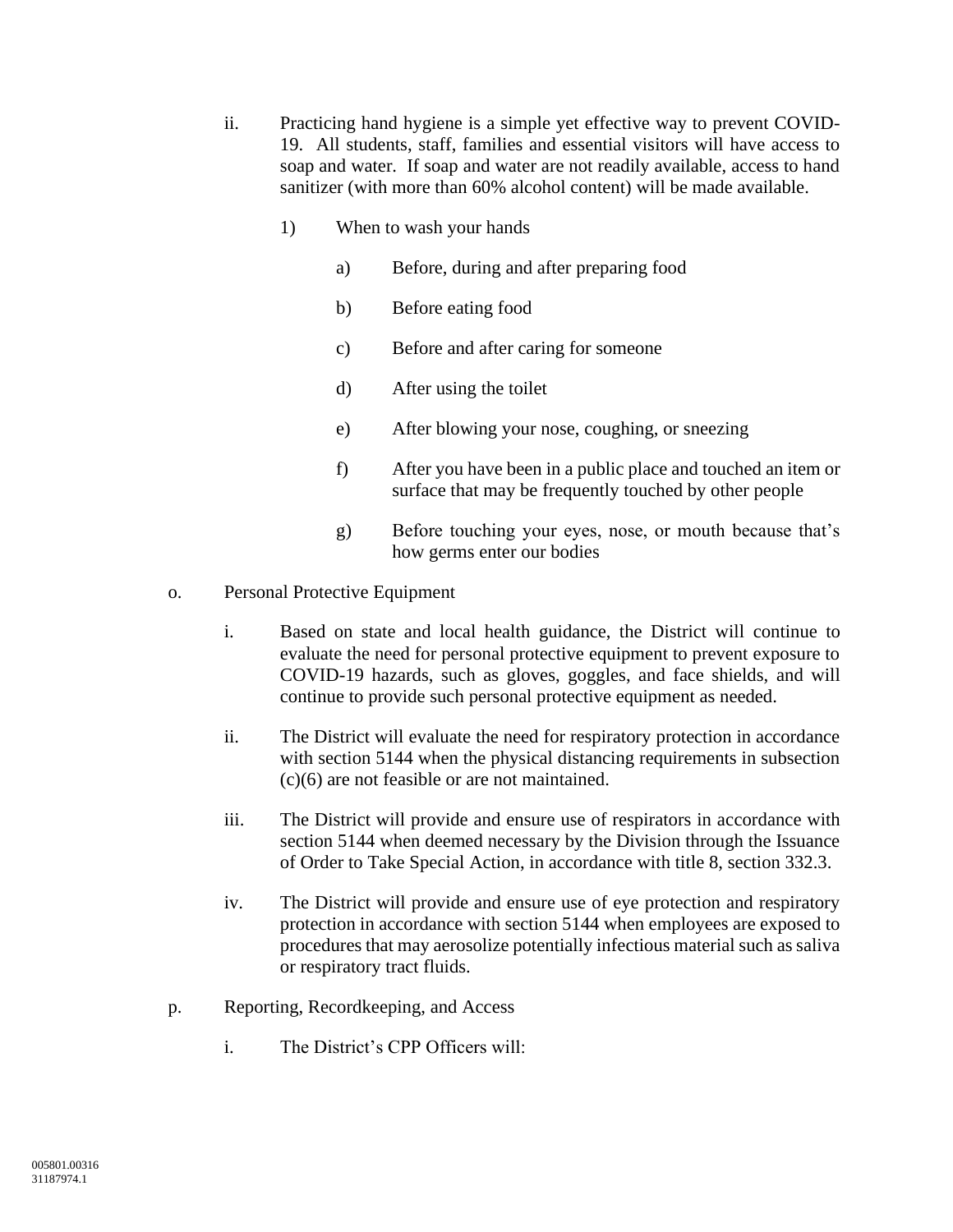- ii. Practicing hand hygiene is a simple yet effective way to prevent COVID-19. All students, staff, families and essential visitors will have access to soap and water. If soap and water are not readily available, access to hand sanitizer (with more than 60% alcohol content) will be made available.
	- 1) When to wash your hands
		- a) Before, during and after preparing food
		- b) Before eating food
		- c) Before and after caring for someone
		- d) After using the toilet
		- e) After blowing your nose, coughing, or sneezing
		- f) After you have been in a public place and touched an item or surface that may be frequently touched by other people
		- g) Before touching your eyes, nose, or mouth because that's how germs enter our bodies
- o. Personal Protective Equipment
	- i. Based on state and local health guidance, the District will continue to evaluate the need for personal protective equipment to prevent exposure to COVID-19 hazards, such as gloves, goggles, and face shields, and will continue to provide such personal protective equipment as needed.
	- ii. The District will evaluate the need for respiratory protection in accordance with section 5144 when the physical distancing requirements in subsection (c)(6) are not feasible or are not maintained.
	- iii. The District will provide and ensure use of respirators in accordance with section 5144 when deemed necessary by the Division through the Issuance of Order to Take Special Action, in accordance with title 8, section 332.3.
	- iv. The District will provide and ensure use of eye protection and respiratory protection in accordance with section 5144 when employees are exposed to procedures that may aerosolize potentially infectious material such as saliva or respiratory tract fluids.
- p. Reporting, Recordkeeping, and Access
	- i. The District's CPP Officers will: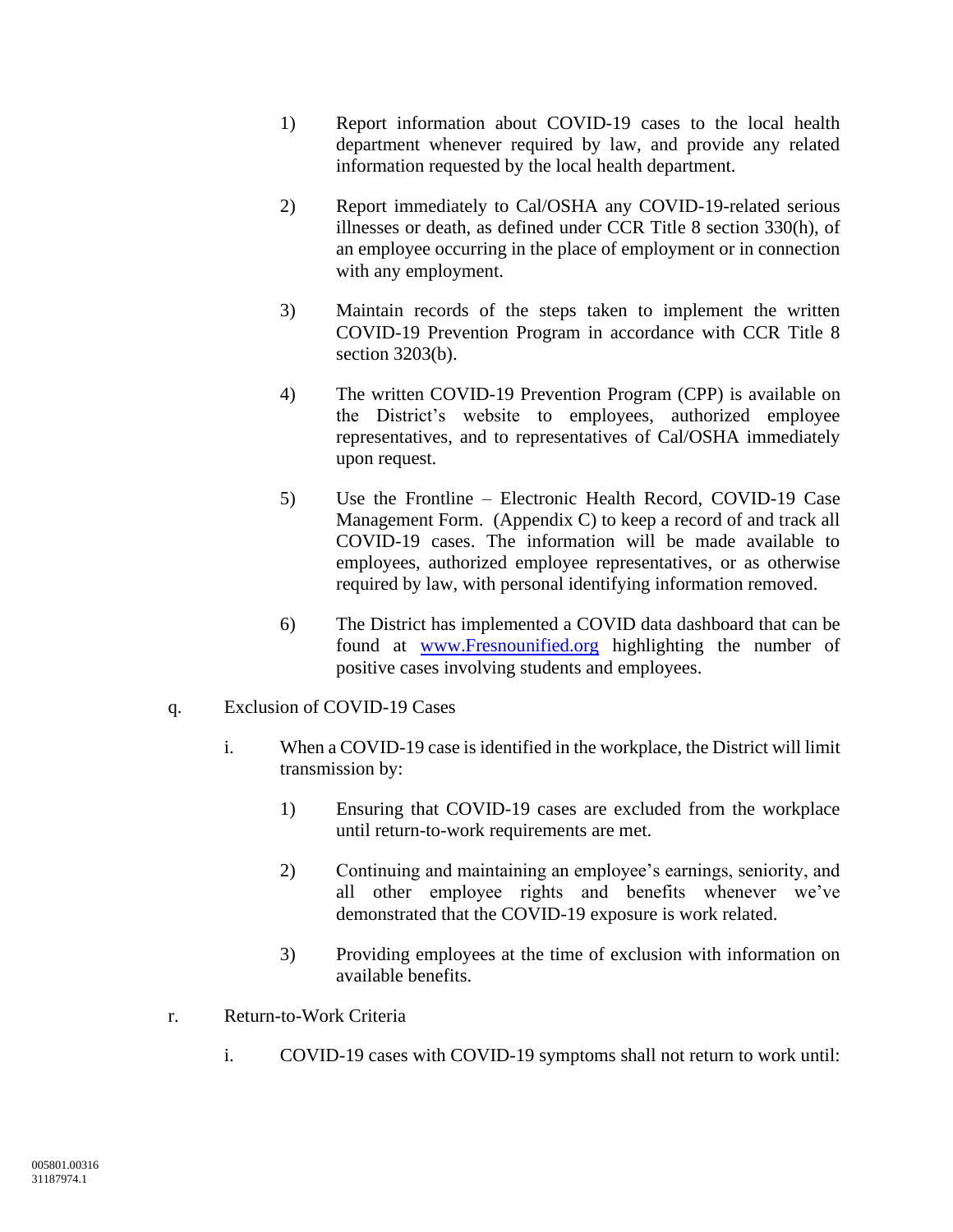- 1) Report information about COVID-19 cases to the local health department whenever required by law, and provide any related information requested by the local health department.
- 2) Report immediately to Cal/OSHA any COVID-19-related serious illnesses or death, as defined under CCR Title 8 section 330(h), of an employee occurring in the place of employment or in connection with any employment.
- 3) Maintain records of the steps taken to implement the written COVID-19 Prevention Program in accordance with CCR Title 8 section 3203(b).
- 4) The written COVID-19 Prevention Program (CPP) is available on the District's website to employees, authorized employee representatives, and to representatives of Cal/OSHA immediately upon request.
- 5) Use the Frontline Electronic Health Record, COVID-19 Case Management Form. (Appendix C) to keep a record of and track all COVID-19 cases. The information will be made available to employees, authorized employee representatives, or as otherwise required by law, with personal identifying information removed.
- 6) The District has implemented a COVID data dashboard that can be found at [www.Fresnounified.org](http://www.fresnounified.org/) highlighting the number of positive cases involving students and employees.
- q. Exclusion of COVID-19 Cases
	- i. When a COVID-19 case is identified in the workplace, the District will limit transmission by:
		- 1) Ensuring that COVID-19 cases are excluded from the workplace until return-to-work requirements are met.
		- 2) Continuing and maintaining an employee's earnings, seniority, and all other employee rights and benefits whenever we've demonstrated that the COVID-19 exposure is work related.
		- 3) Providing employees at the time of exclusion with information on available benefits.
- r. Return-to-Work Criteria
	- i. COVID-19 cases with COVID-19 symptoms shall not return to work until: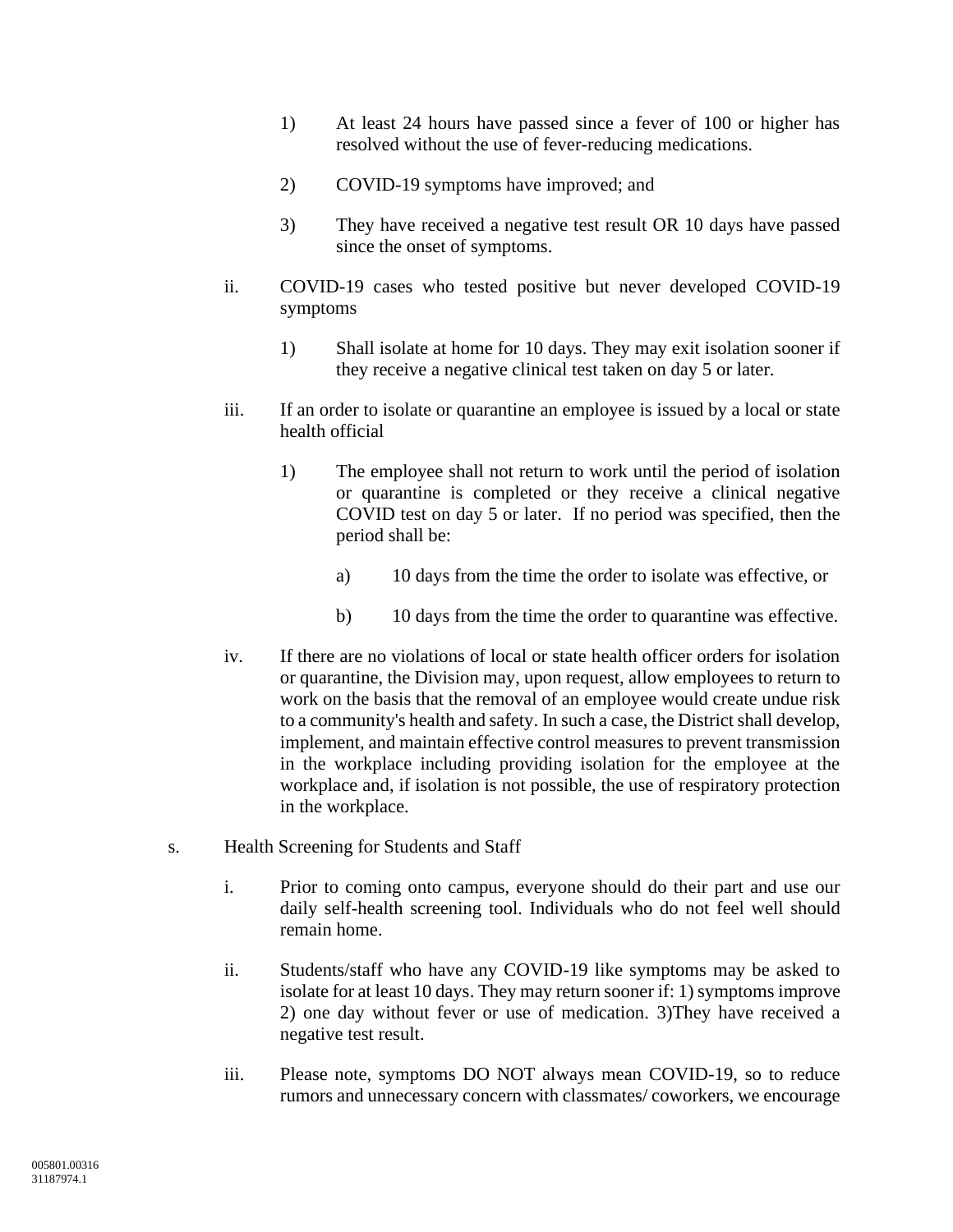- 1) At least 24 hours have passed since a fever of 100 or higher has resolved without the use of fever-reducing medications.
- 2) COVID-19 symptoms have improved; and
- 3) They have received a negative test result OR 10 days have passed since the onset of symptoms.
- ii. COVID-19 cases who tested positive but never developed COVID-19 symptoms
	- 1) Shall isolate at home for 10 days. They may exit isolation sooner if they receive a negative clinical test taken on day 5 or later.
- iii. If an order to isolate or quarantine an employee is issued by a local or state health official
	- 1) The employee shall not return to work until the period of isolation or quarantine is completed or they receive a clinical negative COVID test on day 5 or later. If no period was specified, then the period shall be:
		- a) 10 days from the time the order to isolate was effective, or
		- b) 10 days from the time the order to quarantine was effective.
- iv. If there are no violations of local or state health officer orders for isolation or quarantine, the Division may, upon request, allow employees to return to work on the basis that the removal of an employee would create undue risk to a community's health and safety. In such a case, the District shall develop, implement, and maintain effective control measures to prevent transmission in the workplace including providing isolation for the employee at the workplace and, if isolation is not possible, the use of respiratory protection in the workplace.
- s. Health Screening for Students and Staff
	- i. Prior to coming onto campus, everyone should do their part and use our daily self-health screening tool. Individuals who do not feel well should remain home.
	- ii. Students/staff who have any COVID-19 like symptoms may be asked to isolate for at least 10 days. They may return sooner if: 1) symptoms improve 2) one day without fever or use of medication. 3)They have received a negative test result.
	- iii. Please note, symptoms DO NOT always mean COVID-19, so to reduce rumors and unnecessary concern with classmates/ coworkers, we encourage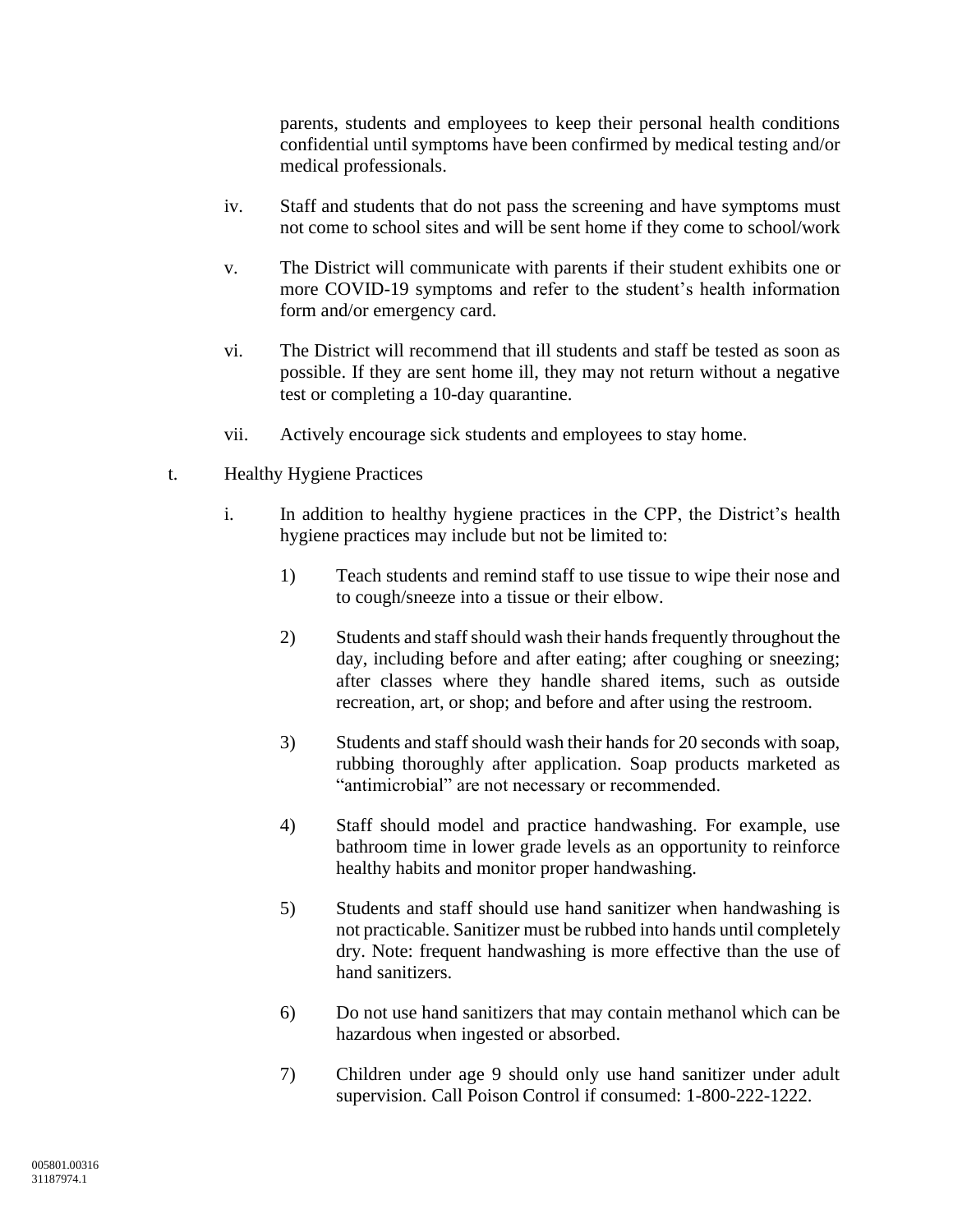parents, students and employees to keep their personal health conditions confidential until symptoms have been confirmed by medical testing and/or medical professionals.

- iv. Staff and students that do not pass the screening and have symptoms must not come to school sites and will be sent home if they come to school/work
- v. The District will communicate with parents if their student exhibits one or more COVID-19 symptoms and refer to the student's health information form and/or emergency card.
- vi. The District will recommend that ill students and staff be tested as soon as possible. If they are sent home ill, they may not return without a negative test or completing a 10-day quarantine.
- vii. Actively encourage sick students and employees to stay home.
- t. Healthy Hygiene Practices
	- i. In addition to healthy hygiene practices in the CPP, the District's health hygiene practices may include but not be limited to:
		- 1) Teach students and remind staff to use tissue to wipe their nose and to cough/sneeze into a tissue or their elbow.
		- 2) Students and staff should wash their hands frequently throughout the day, including before and after eating; after coughing or sneezing; after classes where they handle shared items, such as outside recreation, art, or shop; and before and after using the restroom.
		- 3) Students and staff should wash their hands for 20 seconds with soap, rubbing thoroughly after application. Soap products marketed as "antimicrobial" are not necessary or recommended.
		- 4) Staff should model and practice handwashing. For example, use bathroom time in lower grade levels as an opportunity to reinforce healthy habits and monitor proper handwashing.
		- 5) Students and staff should use hand sanitizer when handwashing is not practicable. Sanitizer must be rubbed into hands until completely dry. Note: frequent handwashing is more effective than the use of hand sanitizers.
		- 6) Do not use hand sanitizers that may contain methanol which can be hazardous when ingested or absorbed.
		- 7) Children under age 9 should only use hand sanitizer under adult supervision. Call Poison Control if consumed: 1-800-222-1222.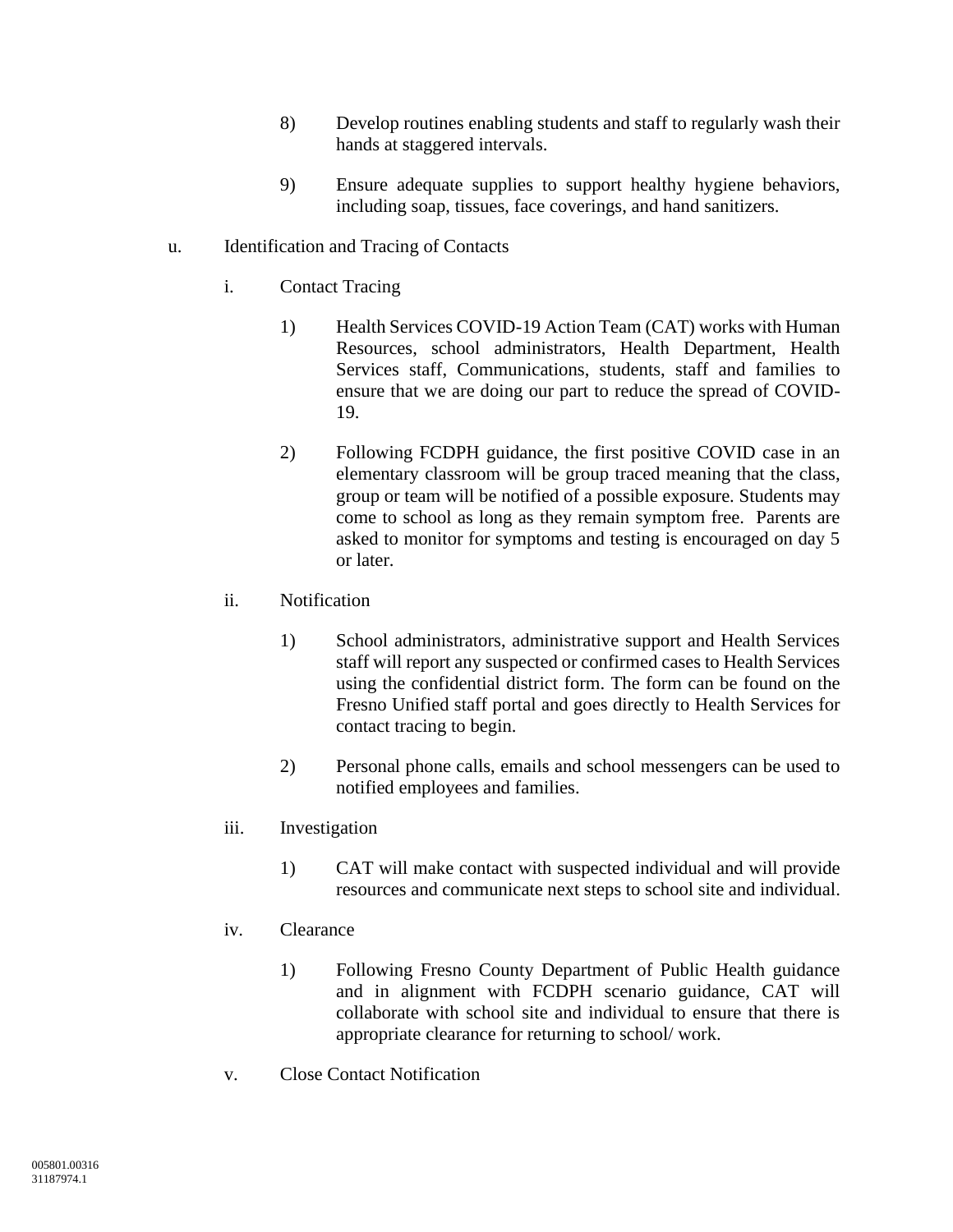- 8) Develop routines enabling students and staff to regularly wash their hands at staggered intervals.
- 9) Ensure adequate supplies to support healthy hygiene behaviors, including soap, tissues, face coverings, and hand sanitizers.

## u. Identification and Tracing of Contacts

- i. Contact Tracing
	- 1) Health Services COVID-19 Action Team (CAT) works with Human Resources, school administrators, Health Department, Health Services staff, Communications, students, staff and families to ensure that we are doing our part to reduce the spread of COVID-19.
	- 2) Following FCDPH guidance, the first positive COVID case in an elementary classroom will be group traced meaning that the class, group or team will be notified of a possible exposure. Students may come to school as long as they remain symptom free. Parents are asked to monitor for symptoms and testing is encouraged on day 5 or later.
- ii. Notification
	- 1) School administrators, administrative support and Health Services staff will report any suspected or confirmed cases to Health Services using the confidential district form. The form can be found on the Fresno Unified staff portal and goes directly to Health Services for contact tracing to begin.
	- 2) Personal phone calls, emails and school messengers can be used to notified employees and families.
- iii. Investigation
	- 1) CAT will make contact with suspected individual and will provide resources and communicate next steps to school site and individual.

#### iv. Clearance

- 1) Following Fresno County Department of Public Health guidance and in alignment with FCDPH scenario guidance, CAT will collaborate with school site and individual to ensure that there is appropriate clearance for returning to school/ work.
- v. Close Contact Notification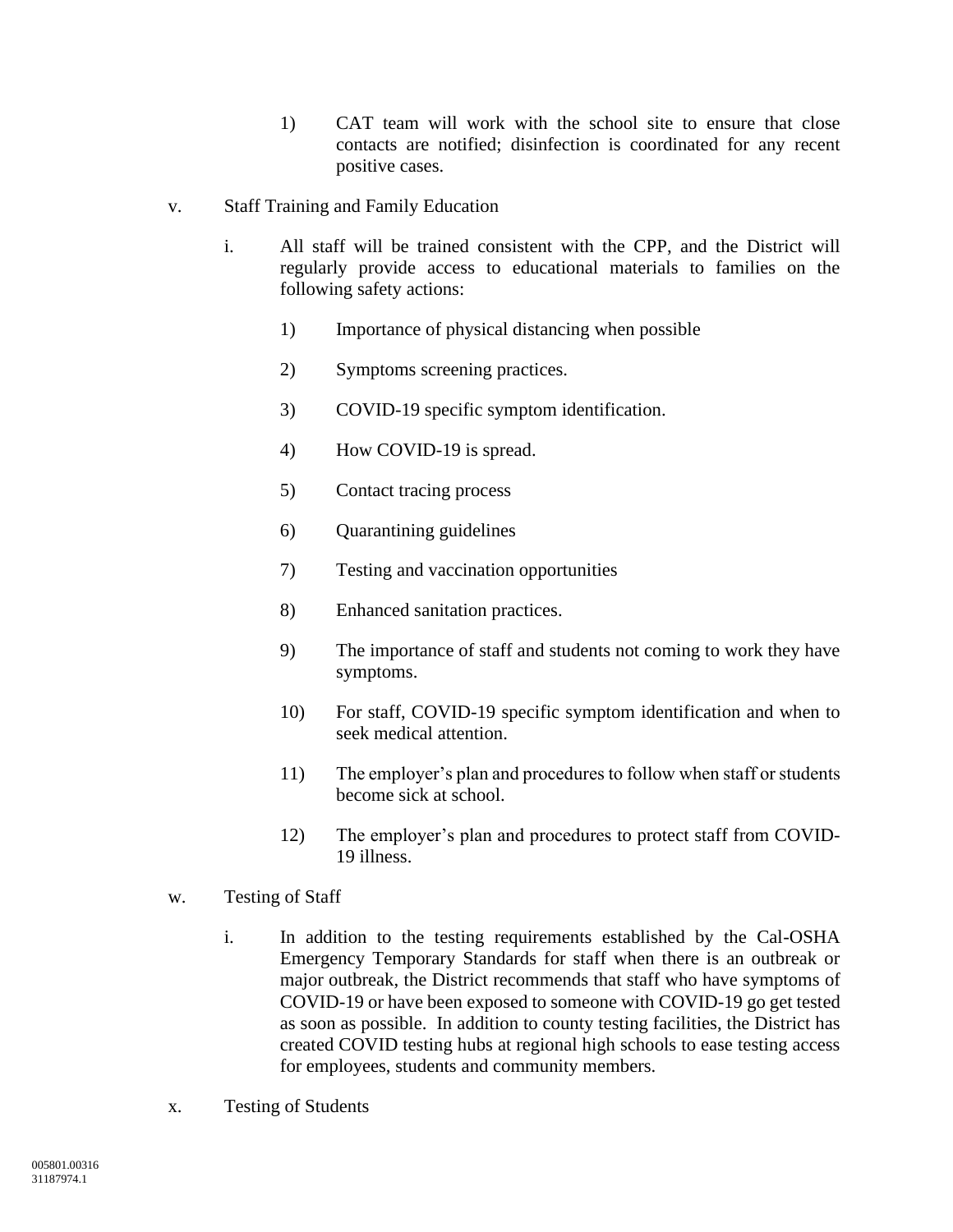- 1) CAT team will work with the school site to ensure that close contacts are notified; disinfection is coordinated for any recent positive cases.
- v. Staff Training and Family Education
	- i. All staff will be trained consistent with the CPP, and the District will regularly provide access to educational materials to families on the following safety actions:
		- 1) Importance of physical distancing when possible
		- 2) Symptoms screening practices.
		- 3) COVID-19 specific symptom identification.
		- 4) How COVID-19 is spread.
		- 5) Contact tracing process
		- 6) Quarantining guidelines
		- 7) Testing and vaccination opportunities
		- 8) Enhanced sanitation practices.
		- 9) The importance of staff and students not coming to work they have symptoms.
		- 10) For staff, COVID-19 specific symptom identification and when to seek medical attention.
		- 11) The employer's plan and procedures to follow when staff or students become sick at school.
		- 12) The employer's plan and procedures to protect staff from COVID-19 illness.
- w. Testing of Staff
	- i. In addition to the testing requirements established by the Cal-OSHA Emergency Temporary Standards for staff when there is an outbreak or major outbreak, the District recommends that staff who have symptoms of COVID-19 or have been exposed to someone with COVID-19 go get tested as soon as possible. In addition to county testing facilities, the District has created COVID testing hubs at regional high schools to ease testing access for employees, students and community members.
- x. Testing of Students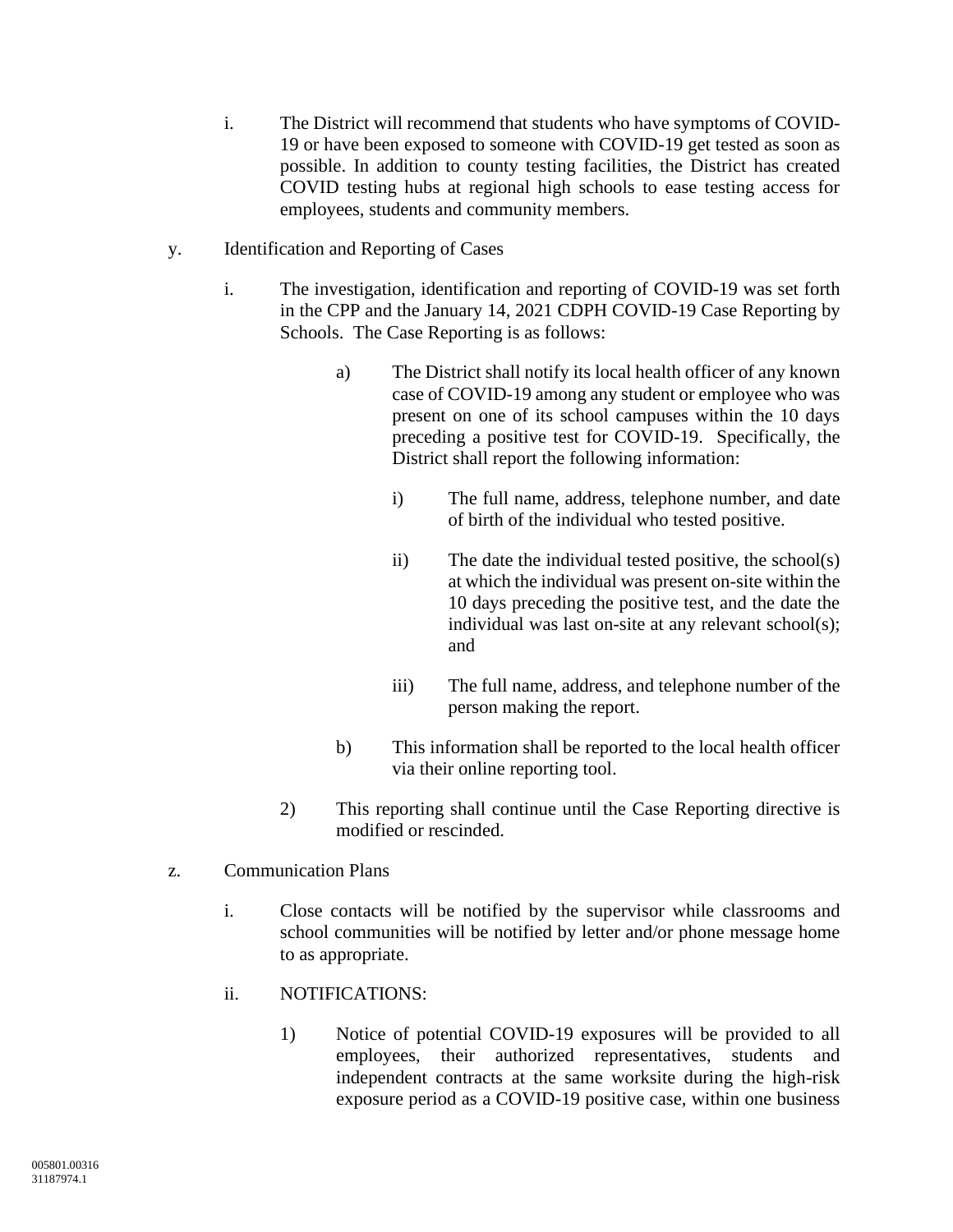- i. The District will recommend that students who have symptoms of COVID-19 or have been exposed to someone with COVID-19 get tested as soon as possible. In addition to county testing facilities, the District has created COVID testing hubs at regional high schools to ease testing access for employees, students and community members.
- y. Identification and Reporting of Cases
	- i. The investigation, identification and reporting of COVID-19 was set forth in the CPP and the January 14, 2021 CDPH COVID-19 Case Reporting by Schools. The Case Reporting is as follows:
		- a) The District shall notify its local health officer of any known case of COVID-19 among any student or employee who was present on one of its school campuses within the 10 days preceding a positive test for COVID-19. Specifically, the District shall report the following information:
			- i) The full name, address, telephone number, and date of birth of the individual who tested positive.
			- ii) The date the individual tested positive, the school(s) at which the individual was present on-site within the 10 days preceding the positive test, and the date the individual was last on-site at any relevant school(s); and
			- iii) The full name, address, and telephone number of the person making the report.
		- b) This information shall be reported to the local health officer via their online reporting tool.
		- 2) This reporting shall continue until the Case Reporting directive is modified or rescinded.
- z. Communication Plans
	- i. Close contacts will be notified by the supervisor while classrooms and school communities will be notified by letter and/or phone message home to as appropriate.
	- ii. NOTIFICATIONS:
		- 1) Notice of potential COVID-19 exposures will be provided to all employees, their authorized representatives, students and independent contracts at the same worksite during the high-risk exposure period as a COVID-19 positive case, within one business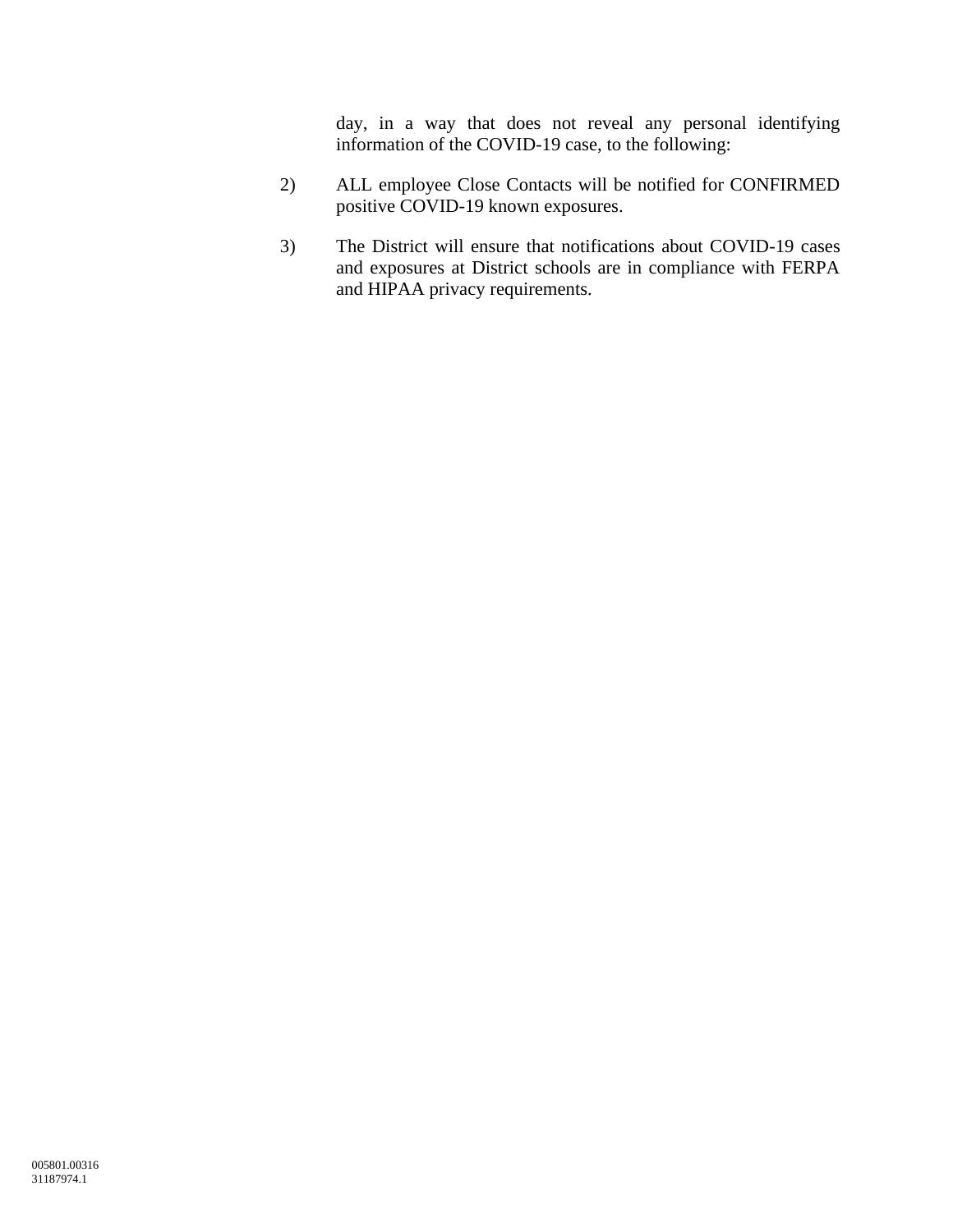day, in a way that does not reveal any personal identifying information of the COVID-19 case, to the following:

- 2) ALL employee Close Contacts will be notified for CONFIRMED positive COVID-19 known exposures.
- 3) The District will ensure that notifications about COVID-19 cases and exposures at District schools are in compliance with FERPA and HIPAA privacy requirements.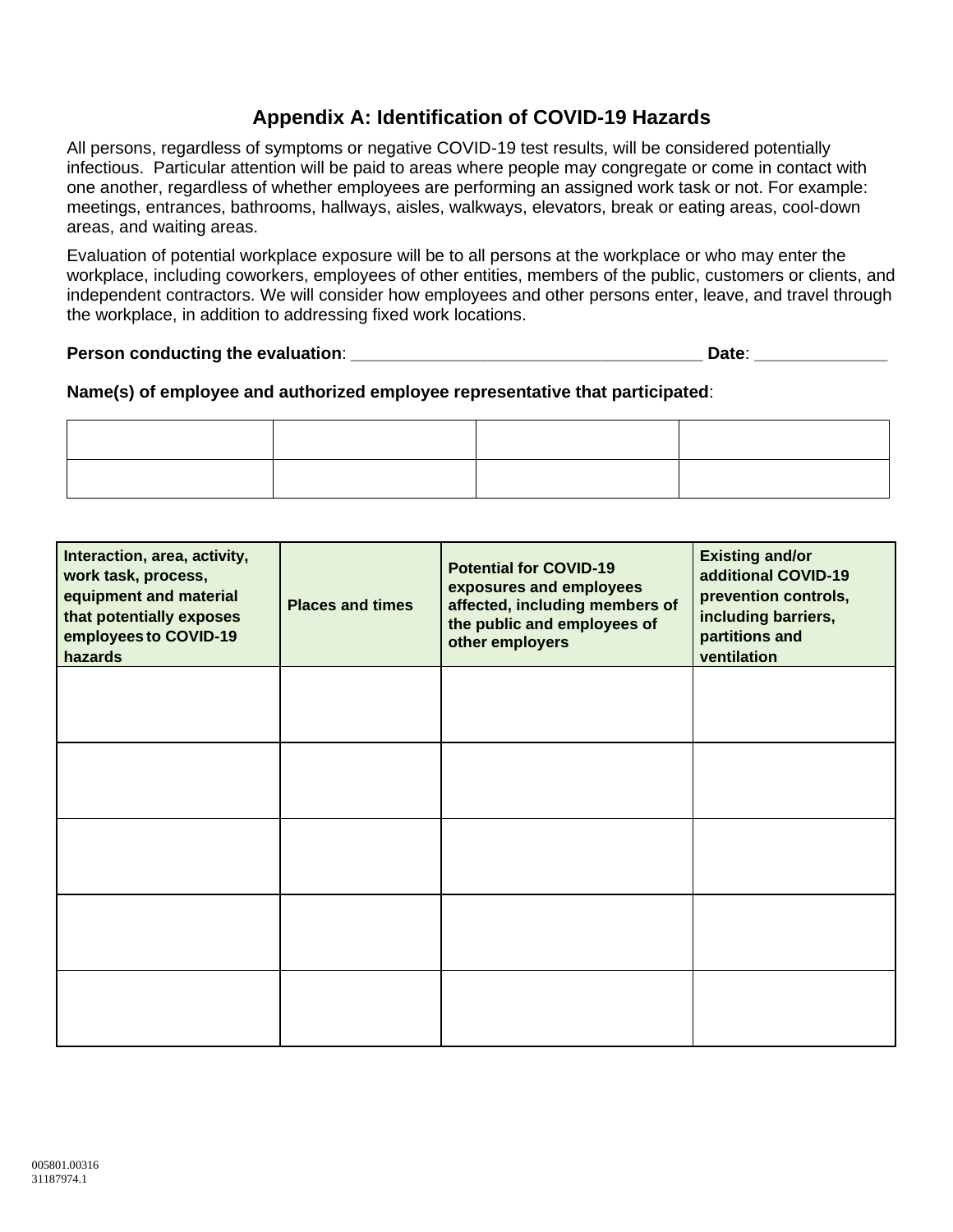# **Appendix A: Identification of COVID-19 Hazards**

All persons, regardless of symptoms or negative COVID-19 test results, will be considered potentially infectious. Particular attention will be paid to areas where people may congregate or come in contact with one another, regardless of whether employees are performing an assigned work task or not. For example: meetings, entrances, bathrooms, hallways, aisles, walkways, elevators, break or eating areas, cool-down areas, and waiting areas.

Evaluation of potential workplace exposure will be to all persons at the workplace or who may enter the workplace, including coworkers, employees of other entities, members of the public, customers or clients, and independent contractors. We will consider how employees and other persons enter, leave, and travel through the workplace, in addition to addressing fixed work locations.

#### **Person conducting the evaluation**: **\_\_\_\_\_\_\_\_\_\_\_\_\_\_\_\_\_\_\_\_\_\_\_\_\_\_\_\_\_\_\_\_\_\_\_\_\_ Date**: **\_\_\_\_\_\_\_\_\_\_\_\_\_\_**

# **Name(s) of employee and authorized employee representative that participated**:

| Interaction, area, activity,<br>work task, process,<br>equipment and material<br>that potentially exposes<br>employees to COVID-19<br>hazards | <b>Places and times</b> | <b>Potential for COVID-19</b><br>exposures and employees<br>affected, including members of<br>the public and employees of<br>other employers | <b>Existing and/or</b><br>additional COVID-19<br>prevention controls,<br>including barriers,<br>partitions and<br>ventilation |
|-----------------------------------------------------------------------------------------------------------------------------------------------|-------------------------|----------------------------------------------------------------------------------------------------------------------------------------------|-------------------------------------------------------------------------------------------------------------------------------|
|                                                                                                                                               |                         |                                                                                                                                              |                                                                                                                               |
|                                                                                                                                               |                         |                                                                                                                                              |                                                                                                                               |
|                                                                                                                                               |                         |                                                                                                                                              |                                                                                                                               |
|                                                                                                                                               |                         |                                                                                                                                              |                                                                                                                               |
|                                                                                                                                               |                         |                                                                                                                                              |                                                                                                                               |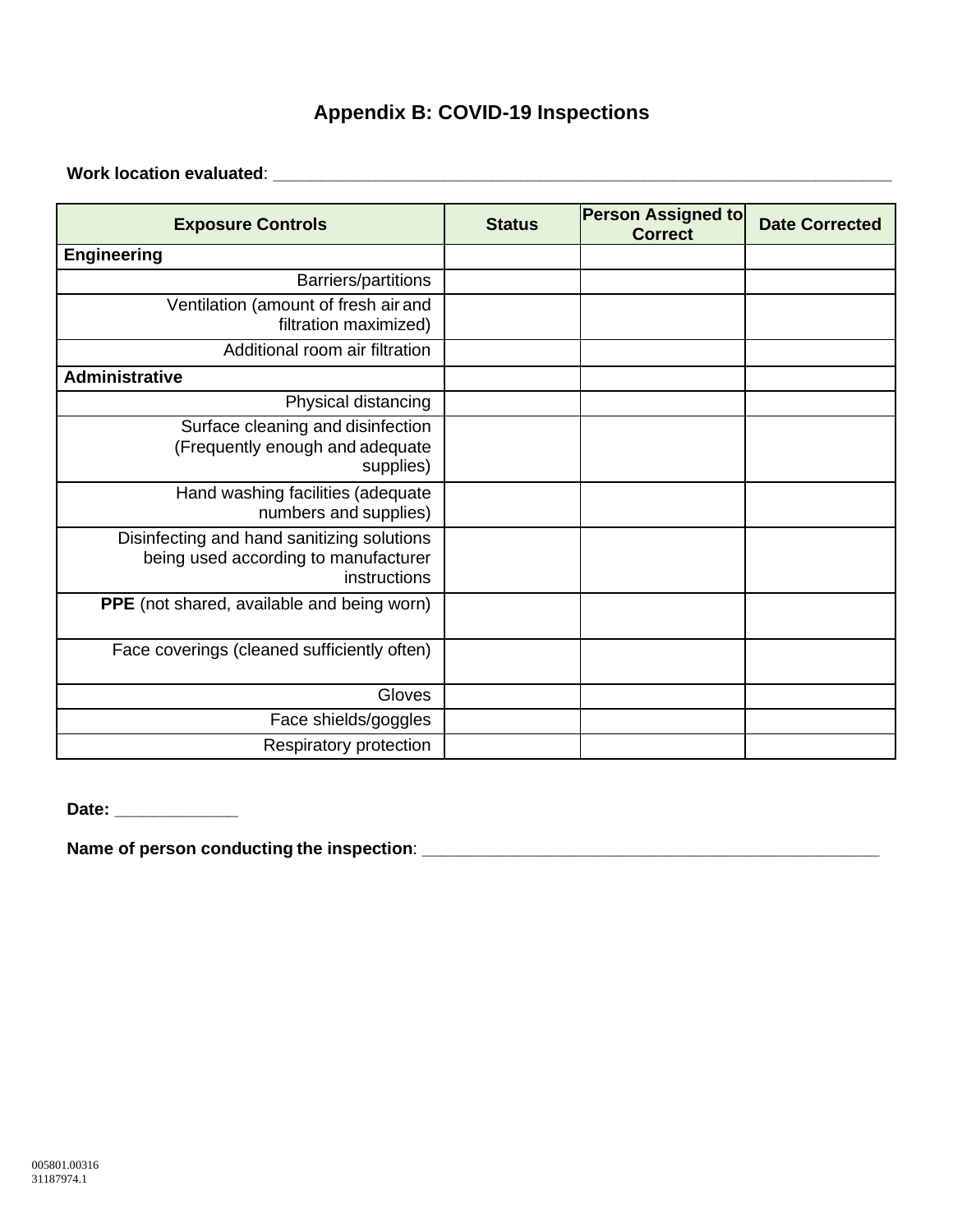# **Appendix B: COVID-19 Inspections**

**Work location evaluated**: **\_\_\_\_\_\_\_\_\_\_\_\_\_\_\_\_\_\_\_\_\_\_\_\_\_\_\_\_\_\_\_\_\_\_\_\_\_\_\_\_\_\_\_\_\_\_\_\_\_\_\_\_\_\_\_\_\_\_\_\_\_\_\_\_\_**

| <b>Exposure Controls</b>                                                                           | <b>Status</b> | <b>Person Assigned to</b><br><b>Correct</b> | <b>Date Corrected</b> |
|----------------------------------------------------------------------------------------------------|---------------|---------------------------------------------|-----------------------|
| <b>Engineering</b>                                                                                 |               |                                             |                       |
| <b>Barriers/partitions</b>                                                                         |               |                                             |                       |
| Ventilation (amount of fresh air and<br>filtration maximized)                                      |               |                                             |                       |
| Additional room air filtration                                                                     |               |                                             |                       |
| <b>Administrative</b>                                                                              |               |                                             |                       |
| Physical distancing                                                                                |               |                                             |                       |
| Surface cleaning and disinfection<br>(Frequently enough and adequate<br>supplies)                  |               |                                             |                       |
| Hand washing facilities (adequate<br>numbers and supplies)                                         |               |                                             |                       |
| Disinfecting and hand sanitizing solutions<br>being used according to manufacturer<br>instructions |               |                                             |                       |
| <b>PPE</b> (not shared, available and being worn)                                                  |               |                                             |                       |
| Face coverings (cleaned sufficiently often)                                                        |               |                                             |                       |
| Gloves                                                                                             |               |                                             |                       |
| Face shields/goggles                                                                               |               |                                             |                       |
| Respiratory protection                                                                             |               |                                             |                       |

**Date: \_\_\_\_\_\_\_\_\_\_\_\_\_**

**Name of person conducting the inspection**: **\_\_\_\_\_\_\_\_\_\_\_\_\_\_\_\_\_\_\_\_\_\_\_\_\_\_\_\_\_\_\_\_\_\_\_\_\_\_\_\_\_\_\_\_\_\_\_\_**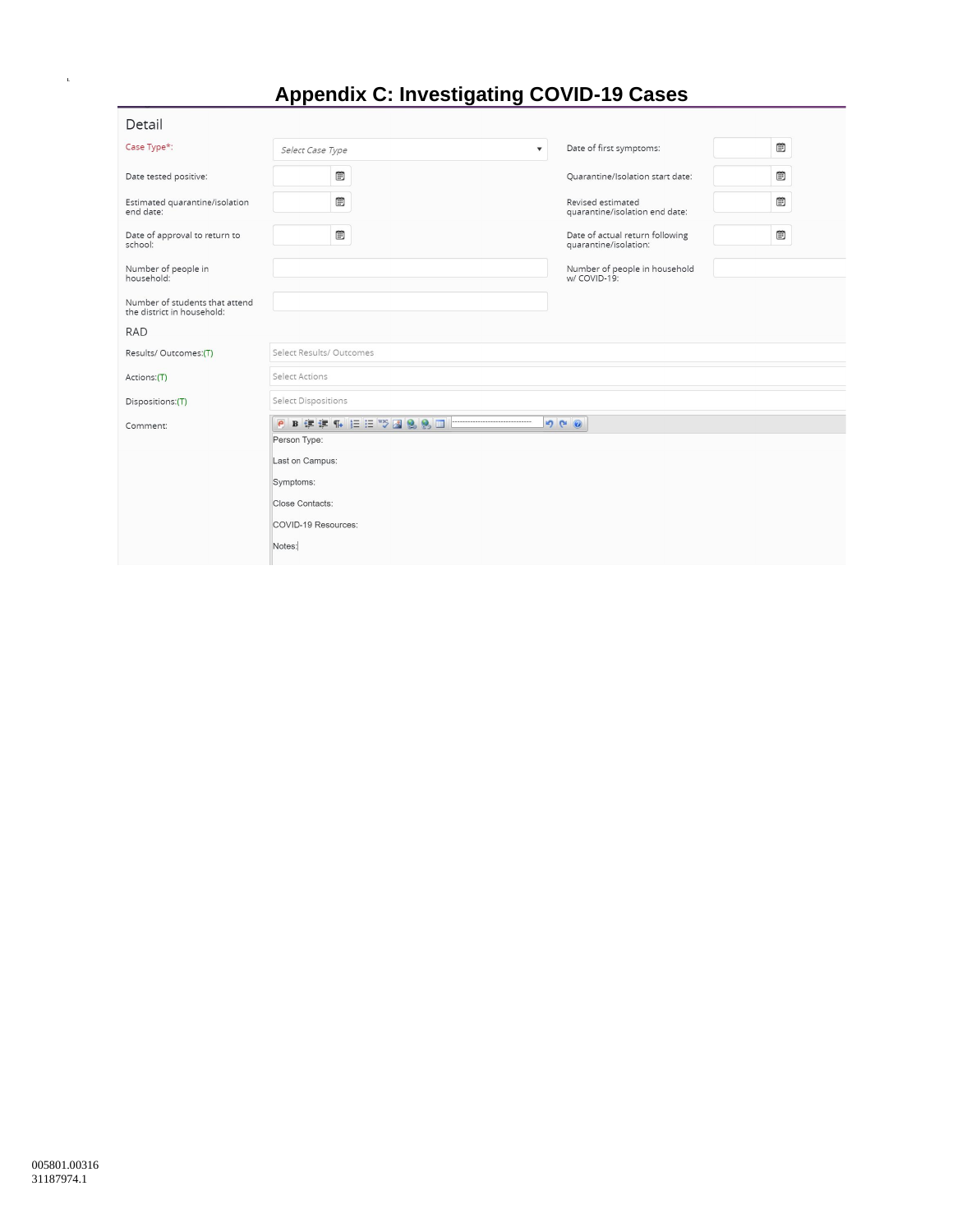# **Appendix C: Investigating COVID-19 Cases**

| Detail                                                       |                                             |                                                          |   |
|--------------------------------------------------------------|---------------------------------------------|----------------------------------------------------------|---|
| Case Type*:                                                  | $\overline{\mathbf{v}}$<br>Select Case Type | Date of first symptoms:                                  | ▦ |
| Date tested positive:                                        | <b>B</b>                                    | Quarantine/Isolation start date:                         | ▦ |
| Estimated quarantine/isolation<br>end date:                  | <b>B</b>                                    | Revised estimated<br>quarantine/isolation end date:      | Đ |
| Date of approval to return to<br>school:                     | $\blacksquare$                              | Date of actual return following<br>quarantine/isolation: | ▦ |
| Number of people in<br>household:                            |                                             | Number of people in household<br>w/ COVID-19:            |   |
| Number of students that attend<br>the district in household: |                                             |                                                          |   |
| <b>RAD</b>                                                   |                                             |                                                          |   |
| Results/Outcomes:(T)                                         | Select Results/ Outcomes                    |                                                          |   |
| Actions:(T)                                                  | Select Actions                              |                                                          |   |
| Dispositions:(T)                                             | Select Dispositions                         |                                                          |   |
| Comment:                                                     | PBまま4 旧日2 288日                              | 900                                                      |   |
|                                                              | Person Type:                                |                                                          |   |
|                                                              | Last on Campus:                             |                                                          |   |
|                                                              | Symptoms:                                   |                                                          |   |
|                                                              | Close Contacts:                             |                                                          |   |
|                                                              | COVID-19 Resources:                         |                                                          |   |
|                                                              | Notes:                                      |                                                          |   |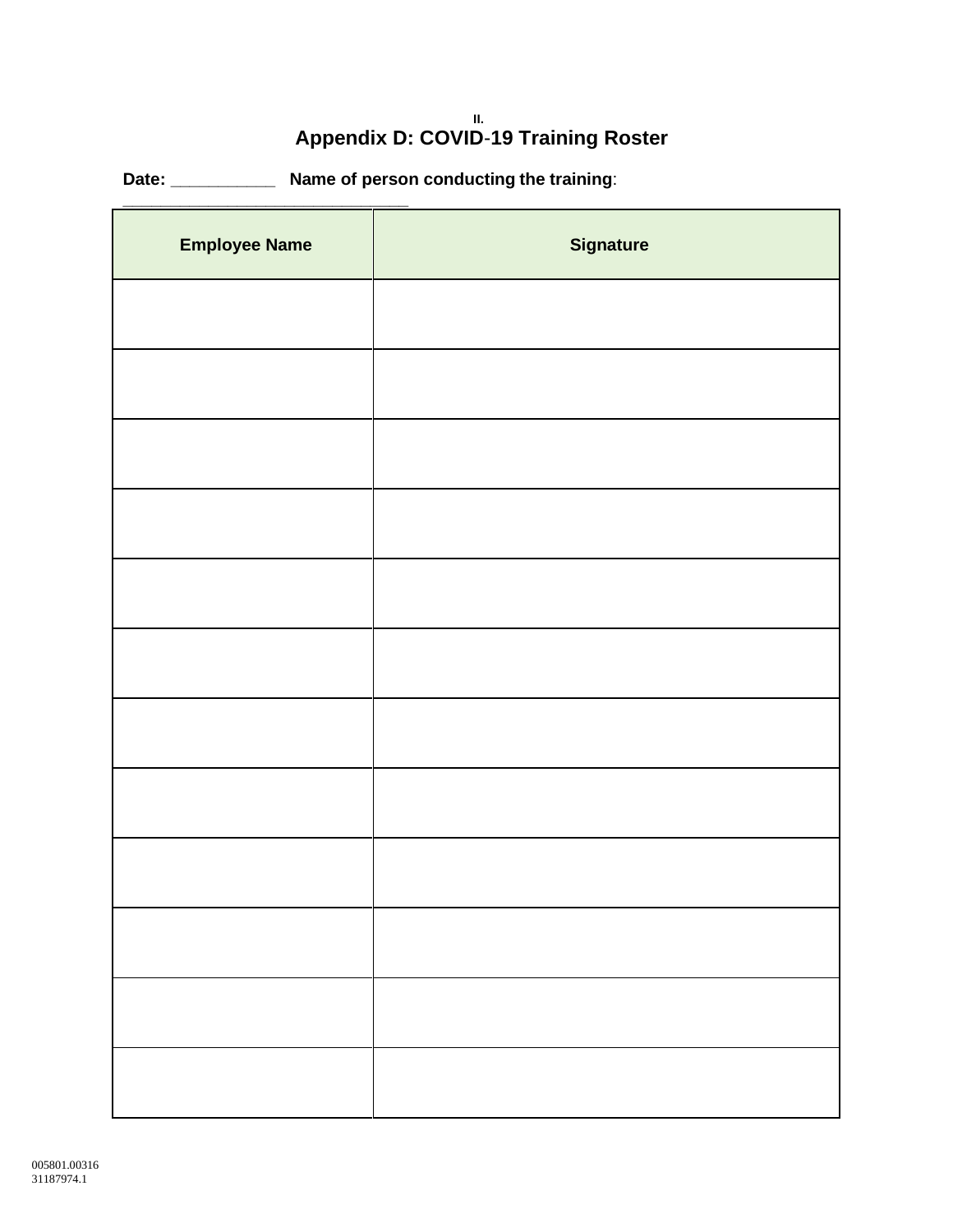#### **II. Appendix D: COVID**-**19 Training Roster**

**Date: \_\_\_\_\_\_\_\_\_\_\_ Name of person conducting the training**:

| <b>Employee Name</b> | <b>Signature</b> |
|----------------------|------------------|
|                      |                  |
|                      |                  |
|                      |                  |
|                      |                  |
|                      |                  |
|                      |                  |
|                      |                  |
|                      |                  |
|                      |                  |
|                      |                  |
|                      |                  |
|                      |                  |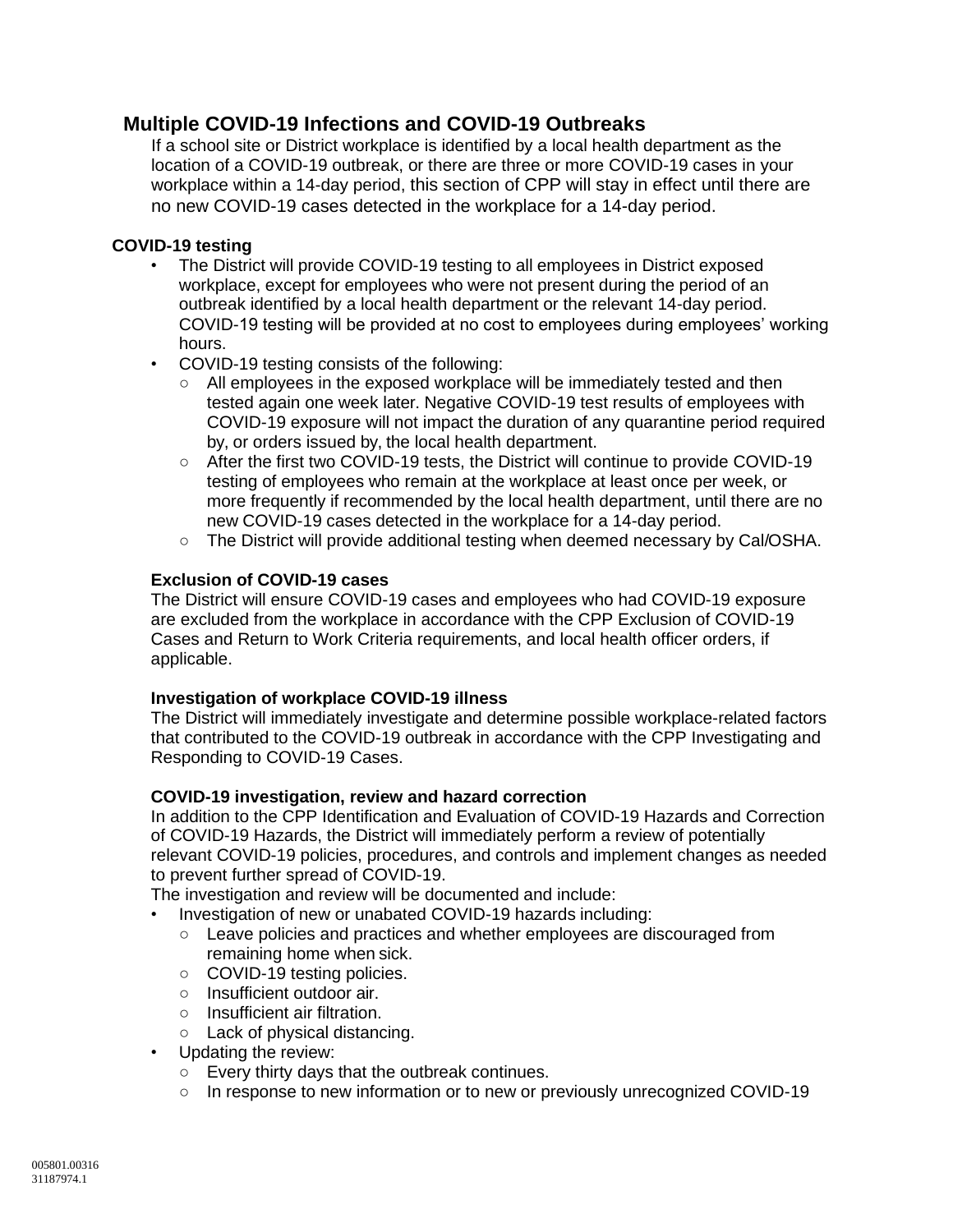# **Multiple COVID-19 Infections and COVID-19 Outbreaks**

If a school site or District workplace is identified by a local health department as the location of a COVID-19 outbreak, or there are three or more COVID-19 cases in your workplace within a 14-day period, this section of CPP will stay in effect until there are no new COVID-19 cases detected in the workplace for a 14-day period.

#### **COVID-19 testing**

- The District will provide COVID-19 testing to all employees in District exposed workplace, except for employees who were not present during the period of an outbreak identified by a local health department or the relevant 14-day period. COVID-19 testing will be provided at no cost to employees during employees' working hours.
- COVID-19 testing consists of the following:
	- All employees in the exposed workplace will be immediately tested and then tested again one week later. Negative COVID-19 test results of employees with COVID-19 exposure will not impact the duration of any quarantine period required by, or orders issued by, the local health department.
	- After the first two COVID-19 tests, the District will continue to provide COVID-19 testing of employees who remain at the workplace at least once per week, or more frequently if recommended by the local health department, until there are no new COVID-19 cases detected in the workplace for a 14-day period.
	- The District will provide additional testing when deemed necessary by Cal/OSHA.

#### **Exclusion of COVID-19 cases**

The District will ensure COVID-19 cases and employees who had COVID-19 exposure are excluded from the workplace in accordance with the CPP Exclusion of COVID-19 Cases and Return to Work Criteria requirements, and local health officer orders, if applicable.

#### **Investigation of workplace COVID-19 illness**

The District will immediately investigate and determine possible workplace-related factors that contributed to the COVID-19 outbreak in accordance with the CPP Investigating and Responding to COVID-19 Cases.

#### **COVID-19 investigation, review and hazard correction**

In addition to the CPP Identification and Evaluation of COVID-19 Hazards and Correction of COVID-19 Hazards, the District will immediately perform a review of potentially relevant COVID-19 policies, procedures, and controls and implement changes as needed to prevent further spread of COVID-19.

The investigation and review will be documented and include:

- Investigation of new or unabated COVID-19 hazards including:
	- Leave policies and practices and whether employees are discouraged from remaining home when sick.
	- COVID-19 testing policies.
	- Insufficient outdoor air.
	- Insufficient air filtration.
	- Lack of physical distancing.
- Updating the review:
	- Every thirty days that the outbreak continues.
	- In response to new information or to new or previously unrecognized COVID-19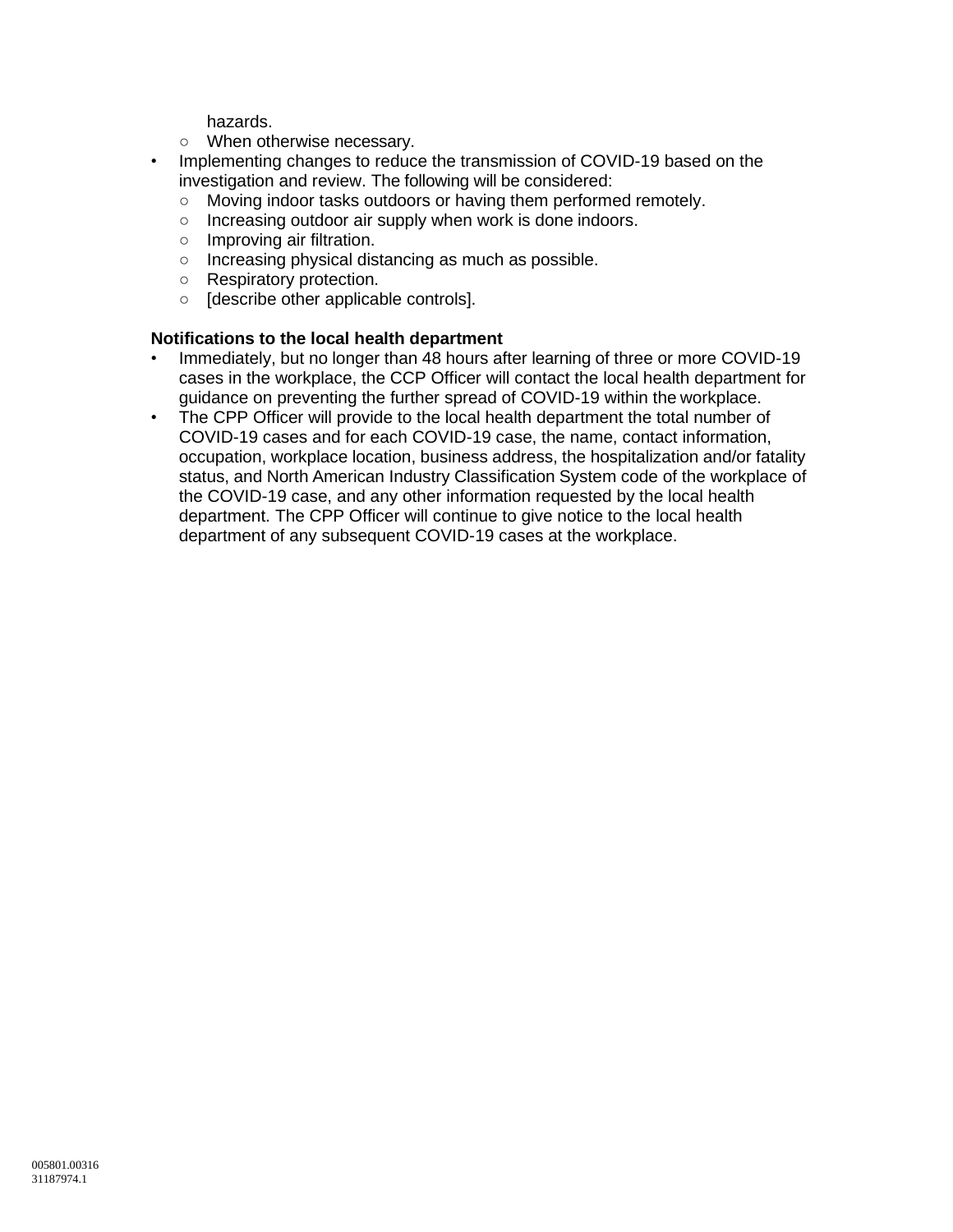hazards.

- When otherwise necessary.
- Implementing changes to reduce the transmission of COVID-19 based on the investigation and review. The following will be considered:
	- Moving indoor tasks outdoors or having them performed remotely.
	- Increasing outdoor air supply when work is done indoors.
	- Improving air filtration.
	- Increasing physical distancing as much as possible.
	- Respiratory protection.
	- [describe other applicable controls].

#### **Notifications to the local health department**

- Immediately, but no longer than 48 hours after learning of three or more COVID-19 cases in the workplace, the CCP Officer will contact the local health department for guidance on preventing the further spread of COVID-19 within the workplace.
- The CPP Officer will provide to the local health department the total number of COVID-19 cases and for each COVID-19 case, the name, contact information, occupation, workplace location, business address, the hospitalization and/or fatality status, and North American Industry Classification System code of the workplace of the COVID-19 case, and any other information requested by the local health department. The CPP Officer will continue to give notice to the local health department of any subsequent COVID-19 cases at the workplace.